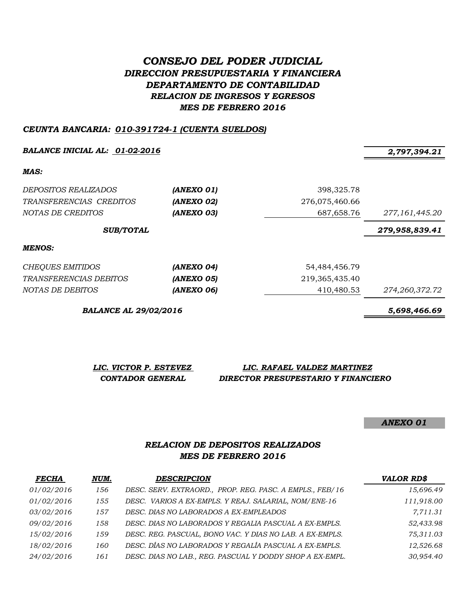# *CONSEJO DEL PODER JUDICIAL DIRECCION PRESUPUESTARIA Y FINANCIERA DEPARTAMENTO DE CONTABILIDAD RELACION DE INGRESOS Y EGRESOS MES DE FEBRERO 2016*

## *CEUNTA BANCARIA: 010-391724-1 (CUENTA SUELDOS)*

*BALANCE INICIAL AL: 01-02-2016 2,797,394.21 MAS: DEPOSITOS REALIZADOS (ANEXO 01)* 398,325.78 *TRANSFERENCIAS CREDITOS (ANEXO 02)* 276,075,460.66 *NOTAS DE CREDITOS (ANEXO 03)* 687,658.76 *277,161,445.20 279,958,839.41 MENOS: CHEQUES EMITIDOS (ANEXO 04)* 54,484,456.79 *TRANSFERENCIAS DEBITOS (ANEXO 05)* 219,365,435.40 *NOTAS DE DEBITOS (ANEXO 06)* 410,480.53 *274,260,372.72 BALANCE AL 29/02/2016 5,698,466.69 SUB/TOTAL* 

| LIC. VICTOR P. ESTEVEZ | LIC. RAFAEL VALDEZ MARTINEZ         |
|------------------------|-------------------------------------|
| CONTADOR GENERAL       | DIRECTOR PRESUPESTARIO Y FINANCIERO |

*ANEXO 01*

# *RELACION DE DEPOSITOS REALIZADOS MES DE FEBRERO 2016*

| <b>FECHA</b> | NUM. | <b>DESCRIPCION</b>                                       | <b>VALOR RD\$</b> |
|--------------|------|----------------------------------------------------------|-------------------|
| 01/02/2016   | 156  | DESC. SERV. EXTRAORD., PROP. REG. PASC. A EMPLS., FEB/16 | 15,696.49         |
| 01/02/2016   | 155  | DESC. VARIOS A EX-EMPLS. Y REAJ. SALARIAL, NOM/ENE-16    | 111,918.00        |
| 03/02/2016   | 157  | DESC. DIAS NO LABORADOS A EX-EMPLEADOS                   | 7,711.31          |
| 09/02/2016   | 158  | DESC. DIAS NO LABORADOS Y REGALIA PASCUAL A EX-EMPLS.    | 52,433.98         |
| 15/02/2016   | 159  | DESC. REG. PASCUAL, BONO VAC. Y DIAS NO LAB. A EX-EMPLS. | 75,311.03         |
| 18/02/2016   | 160  | DESC. DÍAS NO LABORADOS Y REGALÍA PASCUAL A EX-EMPLS.    | 12,526.68         |
| 24/02/2016   | 161  | DESC. DIAS NO LAB., REG. PASCUAL Y DODDY SHOP A EX-EMPL. | 30,954.40         |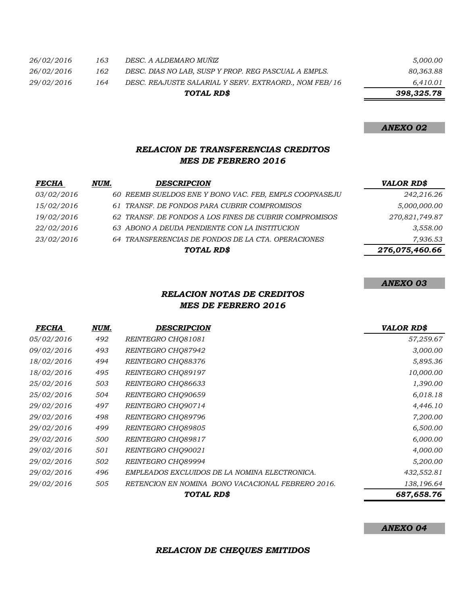*26/02/2016 163 DESC. A ALDEMARO MUÑIZ 5,000.00 26/02/2016 162 DESC. DIAS NO LAB, SUSP Y PROP. REG PASCUAL A EMPLS. 80,363.88 29/02/2016 164 DESC. REAJUSTE SALARIAL Y SERV. EXTRAORD., NOM FEB/16 6,410.01 398,325.78 TOTAL RD\$*

### *ANEXO 02*

## *RELACION DE TRANSFERENCIAS CREDITOS MES DE FEBRERO 2016*

| <b>FECHA</b>      | NUM. | <b>DESCRIPCION</b>                                     | <b>VALOR RD\$</b> |
|-------------------|------|--------------------------------------------------------|-------------------|
| <i>03/02/2016</i> |      | 60 REEMB SUELDOS ENE Y BONO VAC. FEB, EMPLS COOPNASEJU | 242,216.26        |
| 15/02/2016        |      | 61 TRANSF. DE FONDOS PARA CUBRIR COMPROMISOS           | 5,000,000.00      |
| 19/02/2016        |      | 62 TRANSF. DE FONDOS A LOS FINES DE CUBRIR COMPROMISOS | 270,821,749.87    |
| 22/02/2016        |      | 63 ABONO A DEUDA PENDIENTE CON LA INSTITUCION          | 3,558.00          |
| 23/02/2016        |      | 64 TRANSFERENCIAS DE FONDOS DE LA CTA. OPERACIONES     | 7,936.53          |
|                   |      | TOTAL RD\$                                             | 276,075,460.66    |

### *ANEXO 03*

## *RELACION NOTAS DE CREDITOS MES DE FEBRERO 2016*

| <b>FECHA</b>      | NUM. | <b>DESCRIPCION</b>                                | <b>VALOR RD\$</b> |
|-------------------|------|---------------------------------------------------|-------------------|
| 05/02/2016        | 492  | REINTEGRO CHO81081                                | 57,259.67         |
| 09/02/2016        | 493  | REINTEGRO CHO87942                                | 3,000.00          |
| 18/02/2016        | 494  | REINTEGRO CHO88376                                | 5,895.36          |
| 18/02/2016        | 495  | REINTEGRO CHO89197                                | 10,000.00         |
| <i>25/02/2016</i> | 503  | REINTEGRO CHO86633                                | 1,390.00          |
| 25/02/2016        | 504  | REINTEGRO CHQ90659                                | 6,018.18          |
| <i>29/02/2016</i> | 497  | REINTEGRO CHO90714                                | 4,446.10          |
| <i>29/02/2016</i> | 498  | REINTEGRO CHO89796                                | 7,200.00          |
| <i>29/02/2016</i> | 499  | REINTEGRO CHO89805                                | 6,500.00          |
| 29/02/2016        | 500  | REINTEGRO CHO89817                                | 6,000.00          |
| <i>29/02/2016</i> | 501  | REINTEGRO CHO90021                                | 4,000.00          |
| <i>29/02/2016</i> | 502  | REINTEGRO CHO89994                                | 5,200.00          |
| <i>29/02/2016</i> | 496  | EMPLEADOS EXCLUIDOS DE LA NOMINA ELECTRONICA.     | 432,552.81        |
| 29/02/2016        | 505  | RETENCION EN NOMINA BONO VACACIONAL FEBRERO 2016. | 138,196.64        |
|                   |      | TOTAL RD\$                                        | 687,658.76        |

#### *ANEXO 04*

### *RELACION DE CHEQUES EMITIDOS*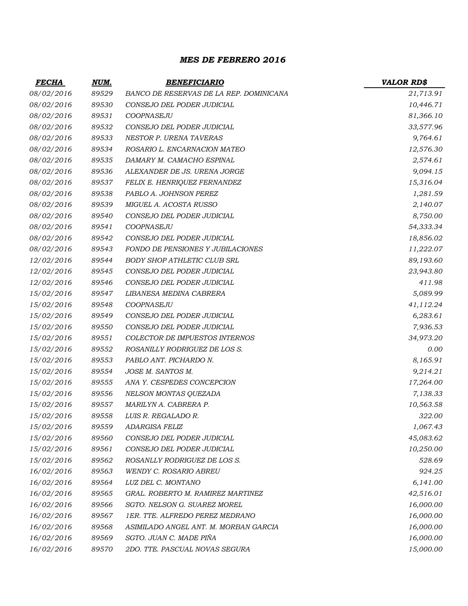## *MES DE FEBRERO 2016*

| <b>FECHA</b> | NUM.  | <b>BENEFICIARIO</b>                     | <b>VALOR RD\$</b> |
|--------------|-------|-----------------------------------------|-------------------|
| 08/02/2016   | 89529 | BANCO DE RESERVAS DE LA REP. DOMINICANA | 21,713.91         |
| 08/02/2016   | 89530 | CONSEJO DEL PODER JUDICIAL              | 10,446.71         |
| 08/02/2016   | 89531 | COOPNASEJU                              | 81,366.10         |
| 08/02/2016   | 89532 | CONSEJO DEL PODER JUDICIAL              | 33,577.96         |
| 08/02/2016   | 89533 | NESTOR P. URENA TAVERAS                 | 9,764.61          |
| 08/02/2016   | 89534 | ROSARIO L. ENCARNACION MATEO            | 12,576.30         |
| 08/02/2016   | 89535 | DAMARY M. CAMACHO ESPINAL               | 2,574.61          |
| 08/02/2016   | 89536 | ALEXANDER DE JS. URENA JORGE            | 9,094.15          |
| 08/02/2016   | 89537 | FELIX E. HENRIQUEZ FERNANDEZ            | 15,316.04         |
| 08/02/2016   | 89538 | PABLO A. JOHNSON PEREZ                  | 1,281.59          |
| 08/02/2016   | 89539 | MIGUEL A. ACOSTA RUSSO                  | 2,140.07          |
| 08/02/2016   | 89540 | CONSEJO DEL PODER JUDICIAL              | 8,750.00          |
| 08/02/2016   | 89541 | COOPNASEJU                              | 54,333.34         |
| 08/02/2016   | 89542 | CONSEJO DEL PODER JUDICIAL              | 18,856.02         |
| 08/02/2016   | 89543 | FONDO DE PENSIONES Y JUBILACIONES       | 11,222.07         |
| 12/02/2016   | 89544 | <b>BODY SHOP ATHLETIC CLUB SRL</b>      | 89,193.60         |
| 12/02/2016   | 89545 | CONSEJO DEL PODER JUDICIAL              | 23,943.80         |
| 12/02/2016   | 89546 | CONSEJO DEL PODER JUDICIAL              | 411.98            |
| 15/02/2016   | 89547 | LIBANESA MEDINA CABRERA                 | 5,089.99          |
| 15/02/2016   | 89548 | COOPNASEJU                              | 41,112.24         |
| 15/02/2016   | 89549 | CONSEJO DEL PODER JUDICIAL              | 6,283.61          |
| 15/02/2016   | 89550 | CONSEJO DEL PODER JUDICIAL              | 7,936.53          |
| 15/02/2016   | 89551 | <b>COLECTOR DE IMPUESTOS INTERNOS</b>   | 34,973.20         |
| 15/02/2016   | 89552 | ROSANILLY RODRIGUEZ DE LOS S.           | 0.00              |
| 15/02/2016   | 89553 | PABLO ANT. PICHARDO N.                  | 8,165.91          |
| 15/02/2016   | 89554 | JOSE M. SANTOS M.                       | 9,214.21          |
| 15/02/2016   | 89555 | ANA Y. CESPEDES CONCEPCION              | 17,264.00         |
| 15/02/2016   | 89556 | NELSON MONTAS QUEZADA                   | 7,138.33          |
| 15/02/2016   | 89557 | MARILYN A. CABRERA P.                   | 10,563.58         |
| 15/02/2016   | 89558 | LUIS R. REGALADO R.                     | 322.00            |
| 15/02/2016   | 89559 | <b>ADARGISA FELIZ</b>                   | 1,067.43          |
| 15/02/2016   | 89560 | CONSEJO DEL PODER JUDICIAL              | 45,083.62         |
| 15/02/2016   | 89561 | CONSEJO DEL PODER JUDICIAL              | 10,250.00         |
| 15/02/2016   | 89562 | ROSANLLY RODRIGUEZ DE LOS S.            | 528.69            |
| 16/02/2016   | 89563 | <b>WENDY C. ROSARIO ABREU</b>           | 924.25            |
| 16/02/2016   | 89564 | LUZ DEL C. MONTANO                      | 6,141.00          |
| 16/02/2016   | 89565 | GRAL. ROBERTO M. RAMIREZ MARTINEZ       | 42,516.01         |
| 16/02/2016   | 89566 | SGTO. NELSON G. SUAREZ MOREL            | 16,000.00         |
| 16/02/2016   | 89567 | 1ER. TTE. ALFREDO PEREZ MEDRANO         | 16,000.00         |
| 16/02/2016   | 89568 | ASIMILADO ANGEL ANT. M. MORBAN GARCIA   | 16,000.00         |
| 16/02/2016   | 89569 | SGTO. JUAN C. MADE PIÑA                 | 16,000.00         |
| 16/02/2016   | 89570 | 2DO. TTE. PASCUAL NOVAS SEGURA          | 15,000.00         |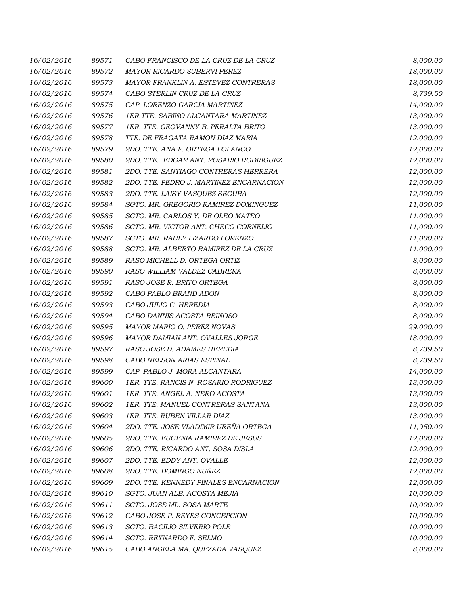| 16/02/2016 | 89571 | CABO FRANCISCO DE LA CRUZ DE LA CRUZ    | 8,000.00  |
|------------|-------|-----------------------------------------|-----------|
| 16/02/2016 | 89572 | MAYOR RICARDO SUBERVI PEREZ             | 18,000.00 |
| 16/02/2016 | 89573 | MAYOR FRANKLIN A. ESTEVEZ CONTRERAS     | 18,000.00 |
| 16/02/2016 | 89574 | CABO STERLIN CRUZ DE LA CRUZ            | 8,739.50  |
| 16/02/2016 | 89575 | CAP. LORENZO GARCIA MARTINEZ            | 14,000.00 |
| 16/02/2016 | 89576 | 1ER.TTE. SABINO ALCANTARA MARTINEZ      | 13,000.00 |
| 16/02/2016 | 89577 | 1ER. TTE. GEOVANNY B. PERALTA BRITO     | 13,000.00 |
| 16/02/2016 | 89578 | TTE. DE FRAGATA RAMON DIAZ MARIA        | 12,000.00 |
| 16/02/2016 | 89579 | 2DO. TTE. ANA F. ORTEGA POLANCO         | 12,000.00 |
| 16/02/2016 | 89580 | 2DO. TTE. EDGAR ANT. ROSARIO RODRIGUEZ  | 12,000.00 |
| 16/02/2016 | 89581 | 2DO. TTE. SANTIAGO CONTRERAS HERRERA    | 12,000.00 |
| 16/02/2016 | 89582 | 2DO. TTE. PEDRO J. MARTINEZ ENCARNACION | 12,000.00 |
| 16/02/2016 | 89583 | 2DO. TTE. LAISY VASQUEZ SEGURA          | 12,000.00 |
| 16/02/2016 | 89584 | SGTO. MR. GREGORIO RAMIREZ DOMINGUEZ    | 11,000.00 |
| 16/02/2016 | 89585 | SGTO. MR. CARLOS Y. DE OLEO MATEO       | 11,000.00 |
| 16/02/2016 | 89586 | SGTO. MR. VICTOR ANT. CHECO CORNELIO    | 11,000.00 |
| 16/02/2016 | 89587 | SGTO. MR. RAULY LIZARDO LORENZO         | 11,000.00 |
| 16/02/2016 | 89588 | SGTO. MR. ALBERTO RAMIREZ DE LA CRUZ    | 11,000.00 |
| 16/02/2016 | 89589 | RASO MICHELL D. ORTEGA ORTIZ            | 8,000.00  |
| 16/02/2016 | 89590 | RASO WILLIAM VALDEZ CABRERA             | 8,000.00  |
| 16/02/2016 | 89591 | RASO JOSE R. BRITO ORTEGA               | 8,000.00  |
| 16/02/2016 | 89592 | CABO PABLO BRAND ADON                   | 8,000.00  |
| 16/02/2016 | 89593 | CABO JULIO C. HEREDIA                   | 8,000.00  |
| 16/02/2016 | 89594 | CABO DANNIS ACOSTA REINOSO              | 8,000.00  |
| 16/02/2016 | 89595 | MAYOR MARIO O. PEREZ NOVAS              | 29,000.00 |
| 16/02/2016 | 89596 | MAYOR DAMIAN ANT. OVALLES JORGE         | 18,000.00 |
| 16/02/2016 | 89597 | RASO JOSE D. ADAMES HEREDIA             | 8,739.50  |
| 16/02/2016 | 89598 | CABO NELSON ARIAS ESPINAL               | 8,739.50  |
| 16/02/2016 | 89599 | CAP. PABLO J. MORA ALCANTARA            | 14,000.00 |
| 16/02/2016 | 89600 | 1ER. TTE. RANCIS N. ROSARIO RODRIGUEZ   | 13,000.00 |
| 16/02/2016 | 89601 | 1ER. TTE. ANGEL A. NERO ACOSTA          | 13,000.00 |
| 16/02/2016 | 89602 | 1ER. TTE. MANUEL CONTRERAS SANTANA      | 13,000.00 |
| 16/02/2016 | 89603 | 1ER. TTE. RUBEN VILLAR DIAZ             | 13,000.00 |
| 16/02/2016 | 89604 | 2DO. TTE. JOSE VLADIMIR UREÑA ORTEGA    | 11,950.00 |
| 16/02/2016 | 89605 | 2DO. TTE. EUGENIA RAMIREZ DE JESUS      | 12,000.00 |
| 16/02/2016 | 89606 | 2DO. TTE. RICARDO ANT. SOSA DISLA       | 12,000.00 |
| 16/02/2016 | 89607 | 2DO. TTE. EDDY ANT. OVALLE              | 12,000.00 |
| 16/02/2016 | 89608 | 2DO. TTE. DOMINGO NUÑEZ                 | 12,000.00 |
| 16/02/2016 | 89609 | 2DO. TTE. KENNEDY PINALES ENCARNACION   | 12,000.00 |
| 16/02/2016 | 89610 | SGTO. JUAN ALB. ACOSTA MEJIA            | 10,000.00 |
| 16/02/2016 | 89611 | SGTO. JOSE ML. SOSA MARTE               | 10,000.00 |
| 16/02/2016 | 89612 | CABO JOSE P. REYES CONCEPCION           | 10,000.00 |
| 16/02/2016 | 89613 | SGTO. BACILIO SILVERIO POLE             | 10,000.00 |
| 16/02/2016 | 89614 | SGTO. REYNARDO F. SELMO                 | 10,000.00 |
| 16/02/2016 | 89615 | CABO ANGELA MA. QUEZADA VASQUEZ         | 8,000.00  |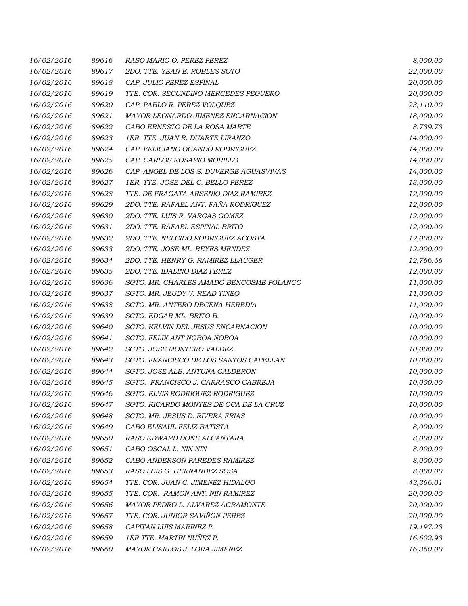| 16/02/2016 | 89616 | RASO MARIO O. PEREZ PEREZ                | 8,000.00  |
|------------|-------|------------------------------------------|-----------|
| 16/02/2016 | 89617 | 2DO. TTE. YEAN E. ROBLES SOTO            | 22,000.00 |
| 16/02/2016 | 89618 | CAP. JULIO PEREZ ESPINAL                 | 20,000.00 |
| 16/02/2016 | 89619 | TTE. COR. SECUNDINO MERCEDES PEGUERO     | 20,000.00 |
| 16/02/2016 | 89620 | CAP. PABLO R. PEREZ VOLQUEZ              | 23,110.00 |
| 16/02/2016 | 89621 | MAYOR LEONARDO JIMENEZ ENCARNACION       | 18,000.00 |
| 16/02/2016 | 89622 | CABO ERNESTO DE LA ROSA MARTE            | 8,739.73  |
| 16/02/2016 | 89623 | 1ER. TTE. JUAN R. DUARTE LIRANZO         | 14,000.00 |
| 16/02/2016 | 89624 | CAP. FELICIANO OGANDO RODRIGUEZ          | 14,000.00 |
| 16/02/2016 | 89625 | CAP. CARLOS ROSARIO MORILLO              | 14,000.00 |
| 16/02/2016 | 89626 | CAP. ANGEL DE LOS S. DUVERGE AGUASVIVAS  | 14,000.00 |
| 16/02/2016 | 89627 | 1ER. TTE. JOSE DEL C. BELLO PEREZ        | 13,000.00 |
| 16/02/2016 | 89628 | TTE. DE FRAGATA ARSENIO DIAZ RAMIREZ     | 12,000.00 |
| 16/02/2016 | 89629 | 2DO. TTE. RAFAEL ANT. FAÑA RODRIGUEZ     | 12,000.00 |
| 16/02/2016 | 89630 | 2DO. TTE. LUIS R. VARGAS GOMEZ           | 12,000.00 |
| 16/02/2016 | 89631 | 2DO. TTE. RAFAEL ESPINAL BRITO           | 12,000.00 |
| 16/02/2016 | 89632 | 2DO. TTE. NELCIDO RODRIGUEZ ACOSTA       | 12,000.00 |
| 16/02/2016 | 89633 | 2DO. TTE. JOSE ML. REYES MENDEZ          | 12,000.00 |
| 16/02/2016 | 89634 | 2DO. TTE. HENRY G. RAMIREZ LLAUGER       | 12,766.66 |
| 16/02/2016 | 89635 | 2DO. TTE. IDALINO DIAZ PEREZ             | 12,000.00 |
| 16/02/2016 | 89636 | SGTO. MR. CHARLES AMADO BENCOSME POLANCO | 11,000.00 |
| 16/02/2016 | 89637 | SGTO. MR. JEUDY V. READ TINEO            | 11,000.00 |
| 16/02/2016 | 89638 | SGTO. MR. ANTERO DECENA HEREDIA          | 11,000.00 |
| 16/02/2016 | 89639 | SGTO. EDGAR ML. BRITO B.                 | 10,000.00 |
| 16/02/2016 | 89640 | SGTO. KELVIN DEL JESUS ENCARNACION       | 10,000.00 |
| 16/02/2016 | 89641 | SGTO. FELIX ANT NOBOA NOBOA              | 10,000.00 |
| 16/02/2016 | 89642 | SGTO. JOSE MONTERO VALDEZ                | 10,000.00 |
| 16/02/2016 | 89643 | SGTO. FRANCISCO DE LOS SANTOS CAPELLAN   | 10,000.00 |
| 16/02/2016 | 89644 | SGTO. JOSE ALB. ANTUNA CALDERON          | 10,000.00 |
| 16/02/2016 | 89645 | SGTO. FRANCISCO J. CARRASCO CABREJA      | 10,000.00 |
| 16/02/2016 | 89646 | SGTO. ELVIS RODRIGUEZ RODRIGUEZ          | 10,000.00 |
| 16/02/2016 | 89647 | SGTO. RICARDO MONTES DE OCA DE LA CRUZ   | 10,000.00 |
| 16/02/2016 | 89648 | SGTO. MR. JESUS D. RIVERA FRIAS          | 10,000.00 |
| 16/02/2016 | 89649 | CABO ELISAUL FELIZ BATISTA               | 8,000.00  |
| 16/02/2016 | 89650 | RASO EDWARD DOÑE ALCANTARA               | 8,000.00  |
| 16/02/2016 | 89651 | CABO OSCAL L. NIN NIN                    | 8,000.00  |
| 16/02/2016 | 89652 | CABO ANDERSON PAREDES RAMIREZ            | 8,000.00  |
| 16/02/2016 | 89653 | RASO LUIS G. HERNANDEZ SOSA              | 8,000.00  |
| 16/02/2016 | 89654 | TTE. COR. JUAN C. JIMENEZ HIDALGO        | 43,366.01 |
| 16/02/2016 | 89655 | TTE. COR. RAMON ANT. NIN RAMIREZ         | 20,000.00 |
| 16/02/2016 | 89656 | MAYOR PEDRO L. ALVAREZ AGRAMONTE         | 20,000.00 |
| 16/02/2016 | 89657 | TTE. COR. JUNIOR SAVIÑON PEREZ           | 20,000.00 |
| 16/02/2016 | 89658 | CAPITAN LUIS MARIÑEZ P.                  | 19,197.23 |
| 16/02/2016 | 89659 | 1ER TTE. MARTIN NUÑEZ P.                 | 16,602.93 |
| 16/02/2016 | 89660 | MAYOR CARLOS J. LORA JIMENEZ             | 16,360.00 |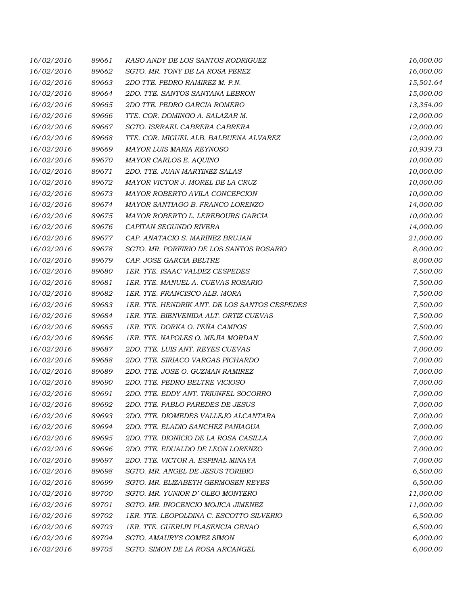| 16/02/2016 | 89661 | RASO ANDY DE LOS SANTOS RODRIGUEZ             | 16,000.00 |
|------------|-------|-----------------------------------------------|-----------|
| 16/02/2016 | 89662 | SGTO. MR. TONY DE LA ROSA PEREZ               | 16,000.00 |
| 16/02/2016 | 89663 | 2DO TTE. PEDRO RAMIREZ M. P.N.                | 15,501.64 |
| 16/02/2016 | 89664 | 2DO. TTE. SANTOS SANTANA LEBRON               | 15,000.00 |
| 16/02/2016 | 89665 | 2DO TTE. PEDRO GARCIA ROMERO                  | 13,354.00 |
| 16/02/2016 | 89666 | TTE. COR. DOMINGO A. SALAZAR M.               | 12,000.00 |
| 16/02/2016 | 89667 | SGTO. ISRRAEL CABRERA CABRERA                 | 12,000.00 |
| 16/02/2016 | 89668 | TTE. COR. MIGUEL ALB. BALBUENA ALVAREZ        | 12,000.00 |
| 16/02/2016 | 89669 | MAYOR LUIS MARIA REYNOSO                      | 10,939.73 |
| 16/02/2016 | 89670 | MAYOR CARLOS E. AQUINO                        | 10,000.00 |
| 16/02/2016 | 89671 | 2DO. TTE. JUAN MARTINEZ SALAS                 | 10,000.00 |
| 16/02/2016 | 89672 | MAYOR VICTOR J. MOREL DE LA CRUZ              | 10,000.00 |
| 16/02/2016 | 89673 | MAYOR ROBERTO AVILA CONCEPCION                | 10,000.00 |
| 16/02/2016 | 89674 | MAYOR SANTIAGO B. FRANCO LORENZO              | 14,000.00 |
| 16/02/2016 | 89675 | MAYOR ROBERTO L. LEREBOURS GARCIA             | 10,000.00 |
| 16/02/2016 | 89676 | CAPITAN SEGUNDO RIVERA                        | 14,000.00 |
| 16/02/2016 | 89677 | CAP. ANATACIO S. MARIÑEZ BRUJAN               | 21,000.00 |
| 16/02/2016 | 89678 | SGTO. MR. PORFIRIO DE LOS SANTOS ROSARIO      | 8,000.00  |
| 16/02/2016 | 89679 | CAP. JOSE GARCIA BELTRE                       | 8,000.00  |
| 16/02/2016 | 89680 | 1ER. TTE. ISAAC VALDEZ CESPEDES               | 7,500.00  |
| 16/02/2016 | 89681 | 1ER. TTE. MANUEL A. CUEVAS ROSARIO            | 7,500.00  |
| 16/02/2016 | 89682 | 1ER. TTE. FRANCISCO ALB. MORA                 | 7,500.00  |
| 16/02/2016 | 89683 | 1ER. TTE. HENDRIK ANT. DE LOS SANTOS CESPEDES | 7,500.00  |
| 16/02/2016 | 89684 | 1ER. TTE. BIENVENIDA ALT. ORTIZ CUEVAS        | 7,500.00  |
| 16/02/2016 | 89685 | 1ER. TTE. DORKA O. PEÑA CAMPOS                | 7,500.00  |
| 16/02/2016 | 89686 | 1ER. TTE. NAPOLES O. MEJIA MORDAN             | 7,500.00  |
| 16/02/2016 | 89687 | 2DO. TTE. LUIS ANT. REYES CUEVAS              | 7,000.00  |
| 16/02/2016 | 89688 | 2DO. TTE. SIRIACO VARGAS PICHARDO             | 7,000.00  |
| 16/02/2016 | 89689 | 2DO. TTE. JOSE O. GUZMAN RAMIREZ              | 7,000.00  |
| 16/02/2016 | 89690 | 2DO. TTE. PEDRO BELTRE VICIOSO                | 7,000.00  |
| 16/02/2016 | 89691 | 2DO. TTE. EDDY ANT. TRIUNFEL SOCORRO          | 7,000.00  |
| 16/02/2016 | 89692 | 2DO. TTE. PABLO PAREDES DE JESUS              | 7,000.00  |
| 16/02/2016 | 89693 | 2DO. TTE. DIOMEDES VALLEJO ALCANTARA          | 7,000.00  |
| 16/02/2016 | 89694 | 2DO. TTE. ELADIO SANCHEZ PANIAGUA             | 7,000.00  |
| 16/02/2016 | 89695 | 2DO. TTE. DIONICIO DE LA ROSA CASILLA         | 7,000.00  |
| 16/02/2016 | 89696 | 2DO. TTE. EDUALDO DE LEON LORENZO             | 7,000.00  |
| 16/02/2016 | 89697 | 2DO. TTE. VICTOR A. ESPINAL MINAYA            | 7,000.00  |
| 16/02/2016 | 89698 | SGTO. MR. ANGEL DE JESUS TORIBIO              | 6,500.00  |
| 16/02/2016 | 89699 | SGTO. MR. ELIZABETH GERMOSEN REYES            | 6,500.00  |
| 16/02/2016 | 89700 | SGTO. MR. YUNIOR D' OLEO MONTERO              | 11,000.00 |
| 16/02/2016 | 89701 | SGTO. MR. INOCENCIO MOJICA JIMENEZ            | 11,000.00 |
| 16/02/2016 | 89702 | 1ER. TTE. LEOPOLDINA C. ESCOTTO SILVERIO      | 6,500.00  |
| 16/02/2016 | 89703 | <b>1ER. TTE. GUERLIN PLASENCIA GENAO</b>      | 6,500.00  |
| 16/02/2016 | 89704 | SGTO. AMAURYS GOMEZ SIMON                     | 6,000.00  |
| 16/02/2016 | 89705 | SGTO. SIMON DE LA ROSA ARCANGEL               | 6,000.00  |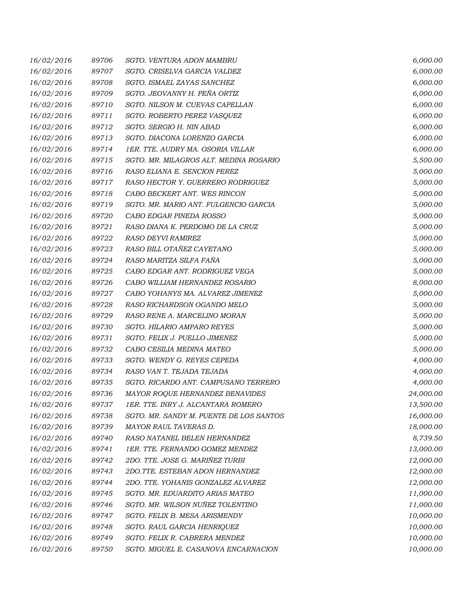| 16/02/2016 | 89706 | SGTO. VENTURA ADON MAMBRU               | 6,000.00  |
|------------|-------|-----------------------------------------|-----------|
| 16/02/2016 | 89707 | SGTO. CRISELVA GARCIA VALDEZ            | 6,000.00  |
| 16/02/2016 | 89708 | SGTO. ISMAEL ZAYAS SANCHEZ              | 6,000.00  |
| 16/02/2016 | 89709 | SGTO. JEOVANNY H. PEÑA ORTIZ            | 6,000.00  |
| 16/02/2016 | 89710 | SGTO. NILSON M. CUEVAS CAPELLAN         | 6,000.00  |
| 16/02/2016 | 89711 | SGTO. ROBERTO PEREZ VASQUEZ             | 6,000.00  |
| 16/02/2016 | 89712 | SGTO. SERGIO H. NIN ABAD                | 6,000.00  |
| 16/02/2016 | 89713 | SGTO. DIACONA LORENZO GARCIA            | 6,000.00  |
| 16/02/2016 | 89714 | 1ER. TTE. AUDRY MA. OSORIA VILLAR       | 6,000.00  |
| 16/02/2016 | 89715 | SGTO. MR. MILAGROS ALT. MEDINA ROSARIO  | 5,500.00  |
| 16/02/2016 | 89716 | RASO ELIANA E. SENCION PEREZ            | 5,000.00  |
| 16/02/2016 | 89717 | RASO HECTOR Y. GUERRERO RODRIGUEZ       | 5,000.00  |
| 16/02/2016 | 89718 | CABO BECKERT ANT. WES RINCON            | 5,000.00  |
| 16/02/2016 | 89719 | SGTO. MR. MARIO ANT. FULGENCIO GARCIA   | 5,000.00  |
| 16/02/2016 | 89720 | CABO EDGAR PINEDA ROSSO                 | 5,000.00  |
| 16/02/2016 | 89721 | RASO DIANA K. PERDOMO DE LA CRUZ        | 5,000.00  |
| 16/02/2016 | 89722 | RASO DEYVI RAMIREZ                      | 5,000.00  |
| 16/02/2016 | 89723 | RASO BILL OTAÑEZ CAYETANO               | 5,000.00  |
| 16/02/2016 | 89724 | RASO MARITZA SILFA FAÑA                 | 5,000.00  |
| 16/02/2016 | 89725 | CABO EDGAR ANT. RODRIGUEZ VEGA          | 5,000.00  |
| 16/02/2016 | 89726 | CABO WILLIAM HERNANDEZ ROSARIO          | 8,000.00  |
| 16/02/2016 | 89727 | CABO YOHANYS MA. ALVAREZ JIMENEZ        | 5,000.00  |
| 16/02/2016 | 89728 | RASO RICHARDSON OGANDO MELO             | 5,000.00  |
| 16/02/2016 | 89729 | RASO RENE A. MARCELINO MORAN            | 5,000.00  |
| 16/02/2016 | 89730 | SGTO. HILARIO AMPARO REYES              | 5,000.00  |
| 16/02/2016 | 89731 | SGTO. FELIX J. PUELLO JIMENEZ           | 5,000.00  |
| 16/02/2016 | 89732 | CABO CESILIA MEDINA MATEO               | 5,000.00  |
| 16/02/2016 | 89733 | SGTO. WENDY G. REYES CEPEDA             | 4,000.00  |
| 16/02/2016 | 89734 | RASO VAN T. TEJADA TEJADA               | 4,000.00  |
| 16/02/2016 | 89735 | SGTO. RICARDO ANT. CAMPUSANO TERRERO    | 4,000.00  |
| 16/02/2016 | 89736 | MAYOR ROQUE HERNANDEZ BENAVIDES         | 24,000.00 |
| 16/02/2016 | 89737 | 1ER. TTE. INRY J. ALCANTARA ROMERO      | 13,500.00 |
| 16/02/2016 | 89738 | SGTO. MR. SANDY M. PUENTE DE LOS SANTOS | 16,000.00 |
| 16/02/2016 | 89739 | MAYOR RAUL TAVERAS D.                   | 18,000.00 |
| 16/02/2016 | 89740 | RASO NATANEL BELEN HERNANDEZ            | 8,739.50  |
| 16/02/2016 | 89741 | 1ER. TTE. FERNANDO GOMEZ MENDEZ         | 13,000.00 |
| 16/02/2016 | 89742 | 2DO. TTE. JOSE G. MARIÑEZ TURBI         | 12,000.00 |
| 16/02/2016 | 89743 | 2DO.TTE. ESTEBAN ADON HERNANDEZ         | 12,000.00 |
| 16/02/2016 | 89744 | 2DO. TTE. YOHANIS GONZALEZ ALVAREZ      | 12,000.00 |
| 16/02/2016 | 89745 | SGTO. MR. EDUARDITO ARIAS MATEO         | 11,000.00 |
| 16/02/2016 | 89746 | SGTO. MR. WILSON NUÑEZ TOLENTINO        | 11,000.00 |
| 16/02/2016 | 89747 | SGTO. FELIX B. MESA ARISMENDY           | 10,000.00 |
| 16/02/2016 | 89748 | SGTO. RAUL GARCIA HENRIQUEZ             | 10,000.00 |
| 16/02/2016 | 89749 | SGTO. FELIX R. CABRERA MENDEZ           | 10,000.00 |
| 16/02/2016 | 89750 | SGTO. MIGUEL E. CASANOVA ENCARNACION    | 10,000.00 |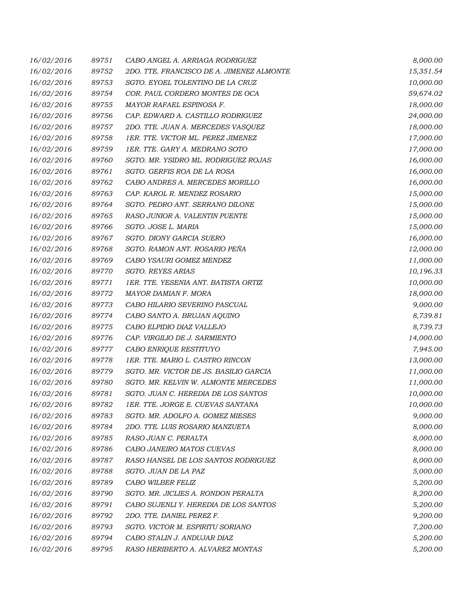| 16/02/2016 | 89751 | CABO ANGEL A. ARRIAGA RODRIGUEZ           | 8,000.00  |
|------------|-------|-------------------------------------------|-----------|
| 16/02/2016 | 89752 | 2DO. TTE. FRANCISCO DE A. JIMENEZ ALMONTE | 15,351.54 |
| 16/02/2016 | 89753 | SGTO. EYOEL TOLENTINO DE LA CRUZ          | 10,000.00 |
| 16/02/2016 | 89754 | COR. PAUL CORDERO MONTES DE OCA           | 59,674.02 |
| 16/02/2016 | 89755 | MAYOR RAFAEL ESPINOSA F.                  | 18,000.00 |
| 16/02/2016 | 89756 | CAP. EDWARD A. CASTILLO RODRIGUEZ         | 24,000.00 |
| 16/02/2016 | 89757 | 2DO. TTE. JUAN A. MERCEDES VASQUEZ        | 18,000.00 |
| 16/02/2016 | 89758 | 1ER. TTE. VICTOR ML. PEREZ JIMENEZ        | 17,000.00 |
| 16/02/2016 | 89759 | 1ER. TTE. GARY A. MEDRANO SOTO            | 17,000.00 |
| 16/02/2016 | 89760 | SGTO. MR. YSIDRO ML. RODRIGUEZ ROJAS      | 16,000.00 |
| 16/02/2016 | 89761 | SGTO. GERFIS ROA DE LA ROSA               | 16,000.00 |
| 16/02/2016 | 89762 | CABO ANDRES A. MERCEDES MORILLO           | 16,000.00 |
| 16/02/2016 | 89763 | CAP. KAROL R. MENDEZ ROSARIO              | 15,000.00 |
| 16/02/2016 | 89764 | SGTO. PEDRO ANT. SERRANO DILONE           | 15,000.00 |
| 16/02/2016 | 89765 | RASO JUNIOR A. VALENTIN PUENTE            | 15,000.00 |
| 16/02/2016 | 89766 | SGTO. JOSE L. MARIA                       | 15,000.00 |
| 16/02/2016 | 89767 | SGTO. DIONY GARCIA SUERO                  | 16,000.00 |
| 16/02/2016 | 89768 | SGTO. RAMON ANT. ROSARIO PEÑA             | 12,000.00 |
| 16/02/2016 | 89769 | CABO YSAURI GOMEZ MENDEZ                  | 11,000.00 |
| 16/02/2016 | 89770 | SGTO. REYES ARIAS                         | 10,196.33 |
| 16/02/2016 | 89771 | 1ER. TTE. YESENIA ANT. BATISTA ORTIZ      | 10,000.00 |
| 16/02/2016 | 89772 | MAYOR DAMIAN F. MORA                      | 18,000.00 |
| 16/02/2016 | 89773 | CABO HILARIO SEVERINO PASCUAL             | 9,000.00  |
| 16/02/2016 | 89774 | CABO SANTO A. BRUJAN AQUINO               | 8,739.81  |
| 16/02/2016 | 89775 | CABO ELPIDIO DIAZ VALLEJO                 | 8,739.73  |
| 16/02/2016 | 89776 | CAP. VIRGILIO DE J. SARMIENTO             | 14,000.00 |
| 16/02/2016 | 89777 | CABO ENRIQUE RESTITUYO                    | 7,945.00  |
| 16/02/2016 | 89778 | 1ER. TTE. MARIO L. CASTRO RINCON          | 13,000.00 |
| 16/02/2016 | 89779 | SGTO. MR. VICTOR DE JS. BASILIO GARCIA    | 11,000.00 |
| 16/02/2016 | 89780 | SGTO. MR. KELVIN W. ALMONTE MERCEDES      | 11,000.00 |
| 16/02/2016 | 89781 | SGTO. JUAN C. HEREDIA DE LOS SANTOS       | 10,000.00 |
| 16/02/2016 | 89782 | 1ER. TTE. JORGE E. CUEVAS SANTANA         | 10,000.00 |
| 16/02/2016 | 89783 | SGTO. MR. ADOLFO A. GOMEZ MIESES          | 9,000.00  |
| 16/02/2016 | 89784 | 2DO. TTE. LUIS ROSARIO MANZUETA           | 8,000.00  |
| 16/02/2016 | 89785 | RASO JUAN C. PERALTA                      | 8,000.00  |
| 16/02/2016 | 89786 | CABO JANEIRO MATOS CUEVAS                 | 8,000.00  |
| 16/02/2016 | 89787 | RASO HANSEL DE LOS SANTOS RODRIGUEZ       | 8,000.00  |
| 16/02/2016 | 89788 | SGTO. JUAN DE LA PAZ                      | 5,000.00  |
| 16/02/2016 | 89789 | CABO WILBER FELIZ                         | 5,200.00  |
| 16/02/2016 | 89790 | SGTO, MR. JICLIES A. RONDON PERALTA       | 8,200.00  |
| 16/02/2016 | 89791 | CABO SUJENLI Y. HEREDIA DE LOS SANTOS     | 5,200.00  |
| 16/02/2016 | 89792 | 2DO. TTE. DANIEL PEREZ F.                 | 9,200.00  |
| 16/02/2016 | 89793 | SGTO. VICTOR M. ESPIRITU SORIANO          | 7,200.00  |
| 16/02/2016 | 89794 | CABO STALIN J. ANDUJAR DIAZ               | 5,200.00  |
| 16/02/2016 | 89795 | RASO HERIBERTO A. ALVAREZ MONTAS          | 5,200.00  |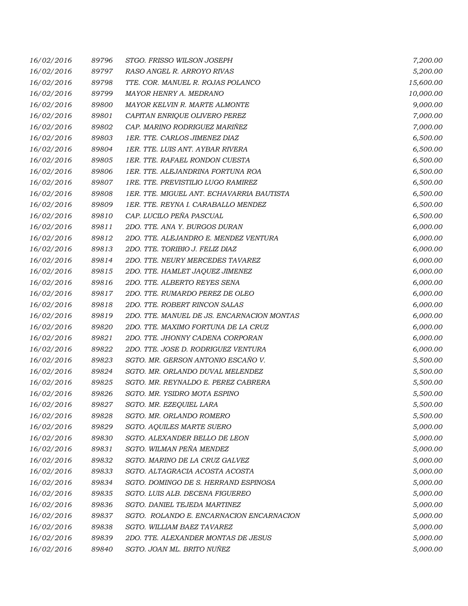| 16/02/2016 | 89796 | STGO. FRISSO WILSON JOSEPH                 | 7,200.00  |
|------------|-------|--------------------------------------------|-----------|
| 16/02/2016 | 89797 | RASO ANGEL R. ARROYO RIVAS                 | 5,200.00  |
| 16/02/2016 | 89798 | TTE. COR. MANUEL R. ROJAS POLANCO          | 15,600.00 |
| 16/02/2016 | 89799 | MAYOR HENRY A. MEDRANO                     | 10,000.00 |
| 16/02/2016 | 89800 | MAYOR KELVIN R. MARTE ALMONTE              | 9,000.00  |
| 16/02/2016 | 89801 | CAPITAN ENRIQUE OLIVERO PEREZ              | 7,000.00  |
| 16/02/2016 | 89802 | CAP. MARINO RODRIGUEZ MARIÑEZ              | 7,000.00  |
| 16/02/2016 | 89803 | 1ER. TTE. CARLOS JIMENEZ DIAZ              | 6,500.00  |
| 16/02/2016 | 89804 | 1ER. TTE. LUIS ANT. AYBAR RIVERA           | 6,500.00  |
| 16/02/2016 | 89805 | 1ER. TTE. RAFAEL RONDON CUESTA             | 6,500.00  |
| 16/02/2016 | 89806 | 1ER. TTE. ALEJANDRINA FORTUNA ROA          | 6,500.00  |
| 16/02/2016 | 89807 | 1RE. TTE. PREVISTILIO LUGO RAMIREZ         | 6,500.00  |
| 16/02/2016 | 89808 | IER. TTE. MIGUEL ANT. ECHAVARRIA BAUTISTA  | 6,500.00  |
| 16/02/2016 | 89809 | 1ER. TTE. REYNA I. CARABALLO MENDEZ        | 6,500.00  |
| 16/02/2016 | 89810 | CAP. LUCILO PEÑA PASCUAL                   | 6,500.00  |
| 16/02/2016 | 89811 | 2DO. TTE. ANA Y. BURGOS DURAN              | 6,000.00  |
| 16/02/2016 | 89812 | 2DO. TTE. ALEJANDRO E. MENDEZ VENTURA      | 6,000.00  |
| 16/02/2016 | 89813 | 2DO. TTE. TORIBIO J. FELIZ DIAZ            | 6,000.00  |
| 16/02/2016 | 89814 | 2DO. TTE. NEURY MERCEDES TAVAREZ           | 6,000.00  |
| 16/02/2016 | 89815 | 2DO. TTE. HAMLET JAQUEZ JIMENEZ            | 6,000.00  |
| 16/02/2016 | 89816 | 2DO. TTE. ALBERTO REYES SENA               | 6,000.00  |
| 16/02/2016 | 89817 | 2DO. TTE. RUMARDO PEREZ DE OLEO            | 6,000.00  |
| 16/02/2016 | 89818 | 2DO. TTE. ROBERT RINCON SALAS              | 6,000.00  |
| 16/02/2016 | 89819 | 2DO. TTE. MANUEL DE JS. ENCARNACION MONTAS | 6,000.00  |
| 16/02/2016 | 89820 | 2DO. TTE. MAXIMO FORTUNA DE LA CRUZ        | 6,000.00  |
| 16/02/2016 | 89821 | 2DO. TTE. JHONNY CADENA CORPORAN           | 6,000.00  |
| 16/02/2016 | 89822 | 2DO. TTE. JOSE D. RODRIGUEZ VENTURA        | 6,000.00  |
| 16/02/2016 | 89823 | SGTO. MR. GERSON ANTONIO ESCAÑO V.         | 5,500.00  |
| 16/02/2016 | 89824 | SGTO. MR. ORLANDO DUVAL MELENDEZ           | 5,500.00  |
| 16/02/2016 | 89825 | SGTO. MR. REYNALDO E. PEREZ CABRERA        | 5,500.00  |
| 16/02/2016 | 89826 | SGTO. MR. YSIDRO MOTA ESPINO               | 5,500.00  |
| 16/02/2016 | 89827 | SGTO. MR. EZEQUIEL LARA                    | 5,500.00  |
| 16/02/2016 | 89828 | SGTO. MR. ORLANDO ROMERO                   | 5,500.00  |
| 16/02/2016 | 89829 | <b>SGTO. AQUILES MARTE SUERO</b>           | 5,000.00  |
| 16/02/2016 | 89830 | SGTO. ALEXANDER BELLO DE LEON              | 5,000.00  |
| 16/02/2016 | 89831 | SGTO. WILMAN PEÑA MENDEZ                   | 5,000.00  |
| 16/02/2016 | 89832 | SGTO. MARINO DE LA CRUZ GALVEZ             | 5,000.00  |
| 16/02/2016 | 89833 | SGTO. ALTAGRACIA ACOSTA ACOSTA             | 5,000.00  |
| 16/02/2016 | 89834 | SGTO. DOMINGO DE S. HERRAND ESPINOSA       | 5,000.00  |
| 16/02/2016 | 89835 | SGTO. LUIS ALB. DECENA FIGUEREO            | 5,000.00  |
| 16/02/2016 | 89836 | SGTO. DANIEL TEJEDA MARTINEZ               | 5,000.00  |
| 16/02/2016 | 89837 | SGTO. ROLANDO E. ENCARNACION ENCARNACION   | 5,000.00  |
| 16/02/2016 | 89838 | SGTO. WILLIAM BAEZ TAVAREZ                 | 5,000.00  |
| 16/02/2016 | 89839 | 2DO. TTE. ALEXANDER MONTAS DE JESUS        | 5,000.00  |
| 16/02/2016 | 89840 | SGTO. JOAN ML. BRITO NUÑEZ                 | 5,000.00  |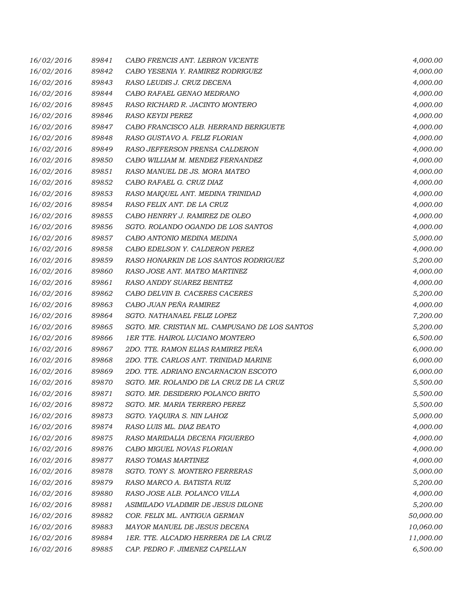| 16/02/2016 | 89841 | CABO FRENCIS ANT. LEBRON VICENTE               | 4,000.00  |
|------------|-------|------------------------------------------------|-----------|
| 16/02/2016 | 89842 | CABO YESENIA Y. RAMIREZ RODRIGUEZ              | 4,000.00  |
| 16/02/2016 | 89843 | RASO LEUDIS J. CRUZ DECENA                     | 4,000.00  |
| 16/02/2016 | 89844 | CABO RAFAEL GENAO MEDRANO                      | 4,000.00  |
| 16/02/2016 | 89845 | RASO RICHARD R. JACINTO MONTERO                | 4,000.00  |
| 16/02/2016 | 89846 | <b>RASO KEYDI PEREZ</b>                        | 4,000.00  |
| 16/02/2016 | 89847 | CABO FRANCISCO ALB. HERRAND BERIGUETE          | 4,000.00  |
| 16/02/2016 | 89848 | RASO GUSTAVO A. FELIZ FLORIAN                  | 4,000.00  |
| 16/02/2016 | 89849 | RASO JEFFERSON PRENSA CALDERON                 | 4,000.00  |
| 16/02/2016 | 89850 | CABO WILLIAM M. MENDEZ FERNANDEZ               | 4,000.00  |
| 16/02/2016 | 89851 | RASO MANUEL DE JS. MORA MATEO                  | 4,000.00  |
| 16/02/2016 | 89852 | CABO RAFAEL G. CRUZ DIAZ                       | 4,000.00  |
| 16/02/2016 | 89853 | RASO MAIQUEL ANT. MEDINA TRINIDAD              | 4,000.00  |
| 16/02/2016 | 89854 | RASO FELIX ANT. DE LA CRUZ                     | 4,000.00  |
| 16/02/2016 | 89855 | CABO HENRRY J. RAMIREZ DE OLEO                 | 4,000.00  |
| 16/02/2016 | 89856 | SGTO. ROLANDO OGANDO DE LOS SANTOS             | 4,000.00  |
| 16/02/2016 | 89857 | CABO ANTONIO MEDINA MEDINA                     | 5,000.00  |
| 16/02/2016 | 89858 | CABO EDELSON Y. CALDERON PEREZ                 | 4,000.00  |
| 16/02/2016 | 89859 | RASO HONARKIN DE LOS SANTOS RODRIGUEZ          | 5,200.00  |
| 16/02/2016 | 89860 | RASO JOSE ANT. MATEO MARTINEZ                  | 4,000.00  |
| 16/02/2016 | 89861 | RASO ANDDY SUAREZ BENITEZ                      | 4,000.00  |
| 16/02/2016 | 89862 | CABO DELVIN B. CACERES CACERES                 | 5,200.00  |
| 16/02/2016 | 89863 | CABO JUAN PEÑA RAMIREZ                         | 4,000.00  |
| 16/02/2016 | 89864 | SGTO. NATHANAEL FELIZ LOPEZ                    | 7,200.00  |
| 16/02/2016 | 89865 | SGTO. MR. CRISTIAN ML. CAMPUSANO DE LOS SANTOS | 5,200.00  |
| 16/02/2016 | 89866 | <b>1ER TTE. HAIROL LUCIANO MONTERO</b>         | 6,500.00  |
| 16/02/2016 | 89867 | 2DO. TTE. RAMON ELIAS RAMIREZ PEÑA             | 6,000.00  |
| 16/02/2016 | 89868 | 2DO. TTE. CARLOS ANT. TRINIDAD MARINE          | 6,000.00  |
| 16/02/2016 | 89869 | 2DO. TTE. ADRIANO ENCARNACION ESCOTO           | 6,000.00  |
| 16/02/2016 | 89870 | SGTO. MR. ROLANDO DE LA CRUZ DE LA CRUZ        | 5,500.00  |
| 16/02/2016 | 89871 | SGTO. MR. DESIDERIO POLANCO BRITO              | 5,500.00  |
| 16/02/2016 | 89872 | SGTO. MR. MARIA TERRERO PEREZ                  | 5,500.00  |
| 16/02/2016 | 89873 | SGTO. YAQUIRA S. NIN LAHOZ                     | 5,000.00  |
| 16/02/2016 | 89874 | RASO LUIS ML. DIAZ BEATO                       | 4,000.00  |
| 16/02/2016 | 89875 | RASO MARIDALIA DECENA FIGUEREO                 | 4,000.00  |
| 16/02/2016 | 89876 | CABO MIGUEL NOVAS FLORIAN                      | 4,000.00  |
| 16/02/2016 | 89877 | <b>RASO TOMAS MARTINEZ</b>                     | 4,000.00  |
| 16/02/2016 | 89878 | SGTO. TONY S. MONTERO FERRERAS                 | 5,000.00  |
| 16/02/2016 | 89879 | RASO MARCO A. BATISTA RUIZ                     | 5,200.00  |
| 16/02/2016 | 89880 | RASO JOSE ALB. POLANCO VILLA                   | 4,000.00  |
| 16/02/2016 | 89881 | ASIMILADO VLADIMIR DE JESUS DILONE             | 5,200.00  |
| 16/02/2016 | 89882 | COR. FELIX ML. ANTIGUA GERMAN                  | 50,000.00 |
| 16/02/2016 | 89883 | MAYOR MANUEL DE JESUS DECENA                   | 10,060.00 |
| 16/02/2016 | 89884 | 1ER. TTE. ALCADIO HERRERA DE LA CRUZ           | 11,000.00 |
| 16/02/2016 | 89885 | CAP. PEDRO F. JIMENEZ CAPELLAN                 | 6,500.00  |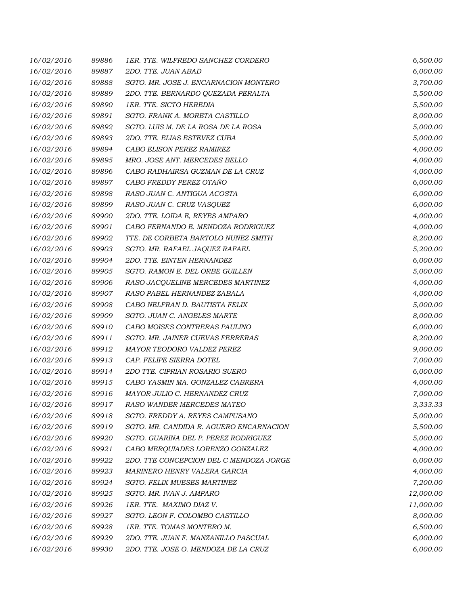| 16/02/2016 | 89886 | 1ER. TTE. WILFREDO SANCHEZ CORDERO      | 6,500.00  |
|------------|-------|-----------------------------------------|-----------|
| 16/02/2016 | 89887 | 2DO. TTE. JUAN ABAD                     | 6,000.00  |
| 16/02/2016 | 89888 | SGTO. MR. JOSE J. ENCARNACION MONTERO   | 3,700.00  |
| 16/02/2016 | 89889 | 2DO. TTE. BERNARDO QUEZADA PERALTA      | 5,500.00  |
| 16/02/2016 | 89890 | 1ER. TTE. SICTO HEREDIA                 | 5,500.00  |
| 16/02/2016 | 89891 | SGTO. FRANK A. MORETA CASTILLO          | 8,000.00  |
| 16/02/2016 | 89892 | SGTO. LUIS M. DE LA ROSA DE LA ROSA     | 5,000.00  |
| 16/02/2016 | 89893 | 2DO. TTE. ELIAS ESTEVEZ CUBA            | 5,000.00  |
| 16/02/2016 | 89894 | CABO ELISON PEREZ RAMIREZ               | 4,000.00  |
| 16/02/2016 | 89895 | MRO. JOSE ANT. MERCEDES BELLO           | 4,000.00  |
| 16/02/2016 | 89896 | CABO RADHAIRSA GUZMAN DE LA CRUZ        | 4,000.00  |
| 16/02/2016 | 89897 | CABO FREDDY PEREZ OTAÑO                 | 6,000.00  |
| 16/02/2016 | 89898 | RASO JUAN C. ANTIGUA ACOSTA             | 6,000.00  |
| 16/02/2016 | 89899 | RASO JUAN C. CRUZ VASQUEZ               | 6,000.00  |
| 16/02/2016 | 89900 | 2DO. TTE. LOIDA E, REYES AMPARO         | 4,000.00  |
| 16/02/2016 | 89901 | CABO FERNANDO E. MENDOZA RODRIGUEZ      | 4,000.00  |
| 16/02/2016 | 89902 | TTE. DE CORBETA BARTOLO NUÑEZ SMITH     | 8,200.00  |
| 16/02/2016 | 89903 | SGTO. MR. RAFAEL JAQUEZ RAFAEL          | 5,200.00  |
| 16/02/2016 | 89904 | 2DO. TTE. EINTEN HERNANDEZ              | 6,000.00  |
| 16/02/2016 | 89905 | SGTO. RAMON E. DEL ORBE GUILLEN         | 5,000.00  |
| 16/02/2016 | 89906 | RASO JACQUELINE MERCEDES MARTINEZ       | 4,000.00  |
| 16/02/2016 | 89907 | RASO PABEL HERNANDEZ ZABALA             | 4,000.00  |
| 16/02/2016 | 89908 | CABO NELFRAN D. BAUTISTA FELIX          | 5,000.00  |
| 16/02/2016 | 89909 | SGTO. JUAN C. ANGELES MARTE             | 8,000.00  |
| 16/02/2016 | 89910 | CABO MOISES CONTRERAS PAULINO           | 6,000.00  |
| 16/02/2016 | 89911 | SGTO. MR. JAINER CUEVAS FERRERAS        | 8,200.00  |
| 16/02/2016 | 89912 | MAYOR TEODORO VALDEZ PEREZ              | 9,000.00  |
| 16/02/2016 | 89913 | CAP. FELIPE SIERRA DOTEL                | 7,000.00  |
| 16/02/2016 | 89914 | 2DO TTE. CIPRIAN ROSARIO SUERO          | 6,000.00  |
| 16/02/2016 | 89915 | CABO YASMIN MA. GONZALEZ CABRERA        | 4,000.00  |
| 16/02/2016 | 89916 | MAYOR JULIO C. HERNANDEZ CRUZ           | 7,000.00  |
| 16/02/2016 | 89917 | RASO WANDER MERCEDES MATEO              | 3,333.33  |
| 16/02/2016 | 89918 | SGTO. FREDDY A. REYES CAMPUSANO         | 5,000.00  |
| 16/02/2016 | 89919 | SGTO. MR. CANDIDA R. AGUERO ENCARNACION | 5,500.00  |
| 16/02/2016 | 89920 | SGTO. GUARINA DEL P. PEREZ RODRIGUEZ    | 5,000.00  |
| 16/02/2016 | 89921 | CABO MERQUIADES LORENZO GONZALEZ        | 4,000.00  |
| 16/02/2016 | 89922 | 2DO. TTE CONCEPCION DEL C MENDOZA JORGE | 6,000.00  |
| 16/02/2016 | 89923 | MARINERO HENRY VALERA GARCIA            | 4,000.00  |
| 16/02/2016 | 89924 | SGTO. FELIX MUESES MARTINEZ             | 7,200.00  |
| 16/02/2016 | 89925 | SGTO. MR. IVAN J. AMPARO                | 12,000.00 |
| 16/02/2016 | 89926 | 1ER. TTE. MAXIMO DIAZ V.                | 11,000.00 |
| 16/02/2016 | 89927 | SGTO. LEON F. COLOMBO CASTILLO          | 8,000.00  |
| 16/02/2016 | 89928 | 1ER. TTE. TOMAS MONTERO M.              | 6,500.00  |
| 16/02/2016 | 89929 | 2DO. TTE. JUAN F. MANZANILLO PASCUAL    | 6,000.00  |
| 16/02/2016 | 89930 | 2DO. TTE. JOSE O. MENDOZA DE LA CRUZ    | 6,000.00  |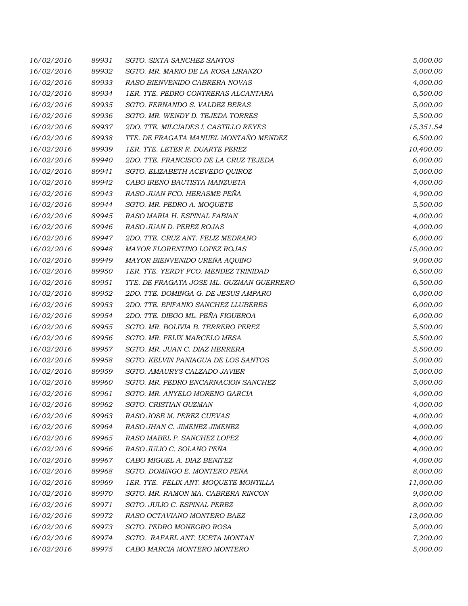| 16/02/2016 | 89931 | SGTO. SIXTA SANCHEZ SANTOS               | 5,000.00  |
|------------|-------|------------------------------------------|-----------|
| 16/02/2016 | 89932 | SGTO. MR. MARIO DE LA ROSA LIRANZO       | 5,000.00  |
| 16/02/2016 | 89933 | RASO BIENVENIDO CABRERA NOVAS            | 4,000.00  |
| 16/02/2016 | 89934 | 1ER. TTE. PEDRO CONTRERAS ALCANTARA      | 6,500.00  |
| 16/02/2016 | 89935 | SGTO. FERNANDO S. VALDEZ BERAS           | 5,000.00  |
| 16/02/2016 | 89936 | SGTO. MR. WENDY D. TEJEDA TORRES         | 5,500.00  |
| 16/02/2016 | 89937 | 2DO. TTE. MILCIADES I. CASTILLO REYES    | 15,351.54 |
| 16/02/2016 | 89938 | TTE. DE FRAGATA MANUEL MONTAÑO MENDEZ    | 6,500.00  |
| 16/02/2016 | 89939 | 1ER. TTE. LETER R. DUARTE PEREZ          | 10,400.00 |
| 16/02/2016 | 89940 | 2DO. TTE. FRANCISCO DE LA CRUZ TEJEDA    | 6,000.00  |
| 16/02/2016 | 89941 | SGTO. ELIZABETH ACEVEDO QUIROZ           | 5,000.00  |
| 16/02/2016 | 89942 | CABO IRENO BAUTISTA MANZUETA             | 4,000.00  |
| 16/02/2016 | 89943 | RASO JUAN FCO. HERASME PEÑA              | 4,900.00  |
| 16/02/2016 | 89944 | SGTO. MR. PEDRO A. MOQUETE               | 5,500.00  |
| 16/02/2016 | 89945 | RASO MARIA H. ESPINAL FABIAN             | 4,000.00  |
| 16/02/2016 | 89946 | RASO JUAN D. PEREZ ROJAS                 | 4,000.00  |
| 16/02/2016 | 89947 | 2DO. TTE. CRUZ ANT. FELIZ MEDRANO        | 6,000.00  |
| 16/02/2016 | 89948 | MAYOR FLORENTINO LOPEZ ROJAS             | 15,000.00 |
| 16/02/2016 | 89949 | MAYOR BIENVENIDO UREÑA AQUINO            | 9,000.00  |
| 16/02/2016 | 89950 | 1ER. TTE. YERDY FCO. MENDEZ TRINIDAD     | 6,500.00  |
| 16/02/2016 | 89951 | TTE. DE FRAGATA JOSE ML. GUZMAN GUERRERO | 6,500.00  |
| 16/02/2016 | 89952 | 2DO. TTE. DOMINGA G. DE JESUS AMPARO     | 6,000.00  |
| 16/02/2016 | 89953 | 2DO. TTE. EPIFANIO SANCHEZ LLUBERES      | 6,000.00  |
| 16/02/2016 | 89954 | 2DO. TTE. DIEGO ML. PEÑA FIGUEROA        | 6,000.00  |
| 16/02/2016 | 89955 | SGTO. MR. BOLIVIA B. TERRERO PEREZ       | 5,500.00  |
| 16/02/2016 | 89956 | SGTO. MR. FELIX MARCELO MESA             | 5,500.00  |
| 16/02/2016 | 89957 | SGTO. MR. JUAN C. DIAZ HERRERA           | 5,500.00  |
| 16/02/2016 | 89958 | SGTO. KELVIN PANIAGUA DE LOS SANTOS      | 5,000.00  |
| 16/02/2016 | 89959 | SGTO. AMAURYS CALZADO JAVIER             | 5,000.00  |
| 16/02/2016 | 89960 | SGTO. MR. PEDRO ENCARNACION SANCHEZ      | 5,000.00  |
| 16/02/2016 | 89961 | SGTO. MR. ANYELO MORENO GARCIA           | 4,000.00  |
| 16/02/2016 | 89962 | SGTO. CRISTIAN GUZMAN                    | 4,000.00  |
| 16/02/2016 | 89963 | RASO JOSE M. PEREZ CUEVAS                | 4,000.00  |
| 16/02/2016 | 89964 | RASO JHAN C. JIMENEZ JIMENEZ             | 4,000.00  |
| 16/02/2016 | 89965 | RASO MABEL P. SANCHEZ LOPEZ              | 4,000.00  |
| 16/02/2016 | 89966 | RASO JULIO C. SOLANO PEÑA                | 4,000.00  |
| 16/02/2016 | 89967 | CABO MIGUEL A. DIAZ BENITEZ              | 4,000.00  |
| 16/02/2016 | 89968 | SGTO. DOMINGO E. MONTERO PEÑA            | 8,000.00  |
| 16/02/2016 | 89969 | 1ER. TTE. FELIX ANT. MOQUETE MONTILLA    | 11,000.00 |
| 16/02/2016 | 89970 | SGTO. MR. RAMON MA. CABRERA RINCON       | 9,000.00  |
| 16/02/2016 | 89971 | SGTO. JULIO C. ESPINAL PEREZ             | 8,000.00  |
| 16/02/2016 | 89972 | RASO OCTAVIANO MONTERO BAEZ              | 13,000.00 |
| 16/02/2016 | 89973 | SGTO. PEDRO MONEGRO ROSA                 | 5,000.00  |
| 16/02/2016 | 89974 | SGTO. RAFAEL ANT. UCETA MONTAN           | 7,200.00  |
| 16/02/2016 | 89975 | CABO MARCIA MONTERO MONTERO              | 5,000.00  |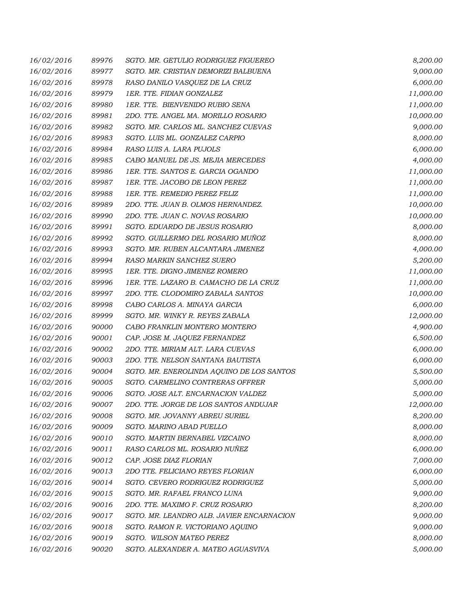| 16/02/2016 | 89976 | SGTO. MR. GETULIO RODRIGUEZ FIGUEREO      | 8,200.00  |
|------------|-------|-------------------------------------------|-----------|
| 16/02/2016 | 89977 | SGTO. MR. CRISTIAN DEMORIZI BALBUENA      | 9,000.00  |
| 16/02/2016 | 89978 | RASO DANILO VASQUEZ DE LA CRUZ            | 6,000.00  |
| 16/02/2016 | 89979 | 1ER. TTE. FIDIAN GONZALEZ                 | 11,000.00 |
| 16/02/2016 | 89980 | 1ER. TTE. BIENVENIDO RUBIO SENA           | 11,000.00 |
| 16/02/2016 | 89981 | 2DO. TTE. ANGEL MA. MORILLO ROSARIO       | 10,000.00 |
| 16/02/2016 | 89982 | SGTO. MR. CARLOS ML. SANCHEZ CUEVAS       | 9,000.00  |
| 16/02/2016 | 89983 | SGTO. LUIS ML. GONZALEZ CARPIO            | 8,000.00  |
| 16/02/2016 | 89984 | RASO LUIS A. LARA PUJOLS                  | 6,000.00  |
| 16/02/2016 | 89985 | CABO MANUEL DE JS. MEJIA MERCEDES         | 4,000.00  |
| 16/02/2016 | 89986 | 1ER. TTE. SANTOS E. GARCIA OGANDO         | 11,000.00 |
| 16/02/2016 | 89987 | 1ER. TTE. JACOBO DE LEON PEREZ            | 11,000.00 |
| 16/02/2016 | 89988 | 1ER. TTE. REMEDIO PEREZ FELIZ             | 11,000.00 |
| 16/02/2016 | 89989 | 2DO. TTE. JUAN B. OLMOS HERNANDEZ.        | 10,000.00 |
| 16/02/2016 | 89990 | 2DO. TTE. JUAN C. NOVAS ROSARIO           | 10,000.00 |
| 16/02/2016 | 89991 | SGTO. EDUARDO DE JESUS ROSARIO            | 8,000.00  |
| 16/02/2016 | 89992 | SGTO. GUILLERMO DEL ROSARIO MUÑOZ         | 8,000.00  |
| 16/02/2016 | 89993 | SGTO. MR. RUBEN ALCANTARA JIMENEZ         | 4,000.00  |
| 16/02/2016 | 89994 | RASO MARKIN SANCHEZ SUERO                 | 5,200.00  |
| 16/02/2016 | 89995 | 1ER. TTE. DIGNO JIMENEZ ROMERO            | 11,000.00 |
| 16/02/2016 | 89996 | 1ER. TTE. LAZARO B. CAMACHO DE LA CRUZ    | 11,000.00 |
| 16/02/2016 | 89997 | 2DO. TTE. CLODOMIRO ZABALA SANTOS         | 10,000.00 |
| 16/02/2016 | 89998 | CABO CARLOS A. MINAYA GARCIA              | 6,000.00  |
| 16/02/2016 | 89999 | SGTO. MR. WINKY R. REYES ZABALA           | 12,000.00 |
| 16/02/2016 | 90000 | CABO FRANKLIN MONTERO MONTERO             | 4,900.00  |
| 16/02/2016 | 90001 | CAP. JOSE M. JAQUEZ FERNANDEZ             | 6,500.00  |
| 16/02/2016 | 90002 | 2DO. TTE. MIRIAM ALT. LARA CUEVAS         | 6,000.00  |
| 16/02/2016 | 90003 | 2DO. TTE. NELSON SANTANA BAUTISTA         | 6,000.00  |
| 16/02/2016 | 90004 | SGTO. MR. ENEROLINDA AQUINO DE LOS SANTOS | 5,500.00  |
| 16/02/2016 | 90005 | SGTO. CARMELINO CONTRERAS OFFRER          | 5,000.00  |
| 16/02/2016 | 90006 | SGTO. JOSE ALT. ENCARNACION VALDEZ        | 5,000.00  |
| 16/02/2016 | 90007 | 2DO. TTE. JORGE DE LOS SANTOS ANDUJAR     | 12,000.00 |
| 16/02/2016 | 90008 | SGTO. MR. JOVANNY ABREU SURIEL            | 8,200.00  |
| 16/02/2016 | 90009 | SGTO. MARINO ABAD PUELLO                  | 8,000.00  |
| 16/02/2016 | 90010 | SGTO. MARTIN BERNABEL VIZCAINO            | 8,000.00  |
| 16/02/2016 | 90011 | RASO CARLOS ML. ROSARIO NUÑEZ             | 6,000.00  |
| 16/02/2016 | 90012 | CAP. JOSE DIAZ FLORIAN                    | 7,000.00  |
| 16/02/2016 | 90013 | 2DO TTE. FELICIANO REYES FLORIAN          | 6,000.00  |
| 16/02/2016 | 90014 | SGTO. CEVERO RODRIGUEZ RODRIGUEZ          | 5,000.00  |
| 16/02/2016 | 90015 | SGTO. MR. RAFAEL FRANCO LUNA              | 9,000.00  |
| 16/02/2016 | 90016 | 2DO. TTE. MAXIMO F. CRUZ ROSARIO          | 8,200.00  |
| 16/02/2016 | 90017 | SGTO. MR. LEANDRO ALB. JAVIER ENCARNACION | 9,000.00  |
| 16/02/2016 | 90018 | SGTO. RAMON R. VICTORIANO AQUINO          | 9,000.00  |
| 16/02/2016 | 90019 | SGTO. WILSON MATEO PEREZ                  | 8,000.00  |
| 16/02/2016 | 90020 | SGTO. ALEXANDER A. MATEO AGUASVIVA        | 5,000.00  |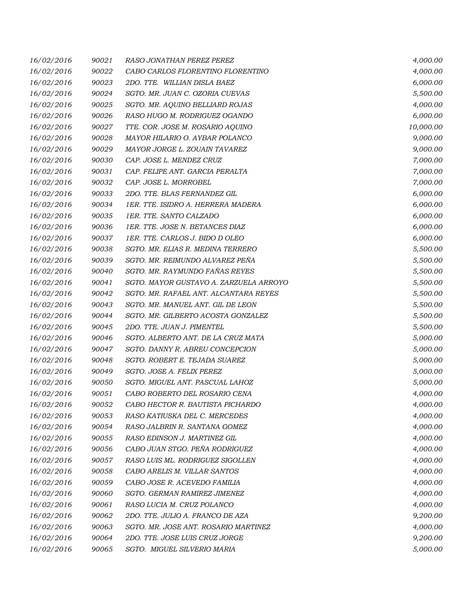| 16/02/2016 | 90021 | RASO JONATHAN PEREZ PEREZ              | 4,000.00  |
|------------|-------|----------------------------------------|-----------|
| 16/02/2016 | 90022 | CABO CARLOS FLORENTINO FLORENTINO      | 4,000.00  |
| 16/02/2016 | 90023 | 2DO. TTE. WILLIAN DISLA BAEZ           | 6,000.00  |
| 16/02/2016 | 90024 | SGTO. MR. JUAN C. OZORIA CUEVAS        | 5,500.00  |
| 16/02/2016 | 90025 | SGTO. MR. AQUINO BELLIARD ROJAS        | 4,000.00  |
| 16/02/2016 | 90026 | RASO HUGO M. RODRIGUEZ OGANDO          | 6,000.00  |
| 16/02/2016 | 90027 | TTE. COR. JOSE M. ROSARIO AQUINO       | 10,000.00 |
| 16/02/2016 | 90028 | MAYOR HILARIO O. AYBAR POLANCO         | 9,000.00  |
| 16/02/2016 | 90029 | MAYOR JORGE L. ZOUAIN TAVAREZ          | 9,000.00  |
| 16/02/2016 | 90030 | CAP. JOSE L. MENDEZ CRUZ               | 7,000.00  |
| 16/02/2016 | 90031 | CAP. FELIPE ANT. GARCIA PERALTA        | 7,000.00  |
| 16/02/2016 | 90032 | CAP. JOSE L. MORROBEL                  | 7,000.00  |
| 16/02/2016 | 90033 | 2DO. TTE. BLAS FERNANDEZ GIL           | 6,000.00  |
| 16/02/2016 | 90034 | 1ER. TTE. ISIDRO A. HERRERA MADERA     | 6,000.00  |
| 16/02/2016 | 90035 | 1ER. TTE. SANTO CALZADO                | 6,000.00  |
| 16/02/2016 | 90036 | 1ER. TTE. JOSE N. BETANCES DIAZ        | 6,000.00  |
| 16/02/2016 | 90037 | 1ER. TTE. CARLOS J. BIDO D OLEO        | 6,000.00  |
| 16/02/2016 | 90038 | SGTO. MR. ELIAS R. MEDINA TERRERO      | 5,500.00  |
| 16/02/2016 | 90039 | SGTO. MR. REIMUNDO ALVAREZ PEÑA        | 5,500.00  |
| 16/02/2016 | 90040 | SGTO. MR. RAYMUNDO FAÑAS REYES         | 5,500.00  |
| 16/02/2016 | 90041 | SGTO. MAYOR GUSTAVO A. ZARZUELA ARROYO | 5,500.00  |
| 16/02/2016 | 90042 | SGTO. MR. RAFAEL ANT. ALCANTARA REYES  | 5,500.00  |
| 16/02/2016 | 90043 | SGTO. MR. MANUEL ANT. GIL DE LEON      | 5,500.00  |
| 16/02/2016 | 90044 | SGTO. MR. GILBERTO ACOSTA GONZALEZ     | 5,500.00  |
| 16/02/2016 | 90045 | 2DO. TTE. JUAN J. PIMENTEL             | 5,500.00  |
| 16/02/2016 | 90046 | SGTO. ALBERTO ANT. DE LA CRUZ MATA     | 5,000.00  |
| 16/02/2016 | 90047 | SGTO. DANNY R. ABREU CONCEPCION        | 5,000.00  |
| 16/02/2016 | 90048 | SGTO. ROBERT E. TEJADA SUAREZ          | 5,000.00  |
| 16/02/2016 | 90049 | SGTO. JOSE A. FELIX PEREZ              | 5,000.00  |
| 16/02/2016 | 90050 | SGTO. MIGUEL ANT. PASCUAL LAHOZ        | 5,000.00  |
| 16/02/2016 | 90051 | CABO ROBERTO DEL ROSARIO CENA          | 4,000.00  |
| 16/02/2016 | 90052 | CABO HECTOR R. BAUTISTA PICHARDO       | 4,000.00  |
| 16/02/2016 | 90053 | RASO KATIUSKA DEL C. MERCEDES          | 4,000.00  |
| 16/02/2016 | 90054 | RASO JALBRIN R. SANTANA GOMEZ          | 4,000.00  |
| 16/02/2016 | 90055 | RASO EDINSON J. MARTINEZ GIL           | 4,000.00  |
| 16/02/2016 | 90056 | CABO JUAN STGO. PEÑA RODRIGUEZ         | 4,000.00  |
| 16/02/2016 | 90057 | RASO LUIS ML. RODRIGUEZ SIGOLLEN       | 4,000.00  |
| 16/02/2016 | 90058 | CABO ARELIS M. VILLAR SANTOS           | 4,000.00  |
| 16/02/2016 | 90059 | CABO JOSE R. ACEVEDO FAMILIA           | 4,000.00  |
| 16/02/2016 | 90060 | SGTO. GERMAN RAMIREZ JIMENEZ           | 4,000.00  |
| 16/02/2016 | 90061 | RASO LUCIA M. CRUZ POLANCO             | 4,000.00  |
| 16/02/2016 | 90062 | 2DO. TTE. JULIO A. FRANCO DE AZA       | 9,200.00  |
| 16/02/2016 | 90063 | SGTO. MR. JOSE ANT. ROSARIO MARTINEZ   | 4,000.00  |
| 16/02/2016 | 90064 | 2DO. TTE. JOSE LUIS CRUZ JORGE         | 9,200.00  |
| 16/02/2016 | 90065 | SGTO. MIGUEL SILVERIO MARIA            | 5,000.00  |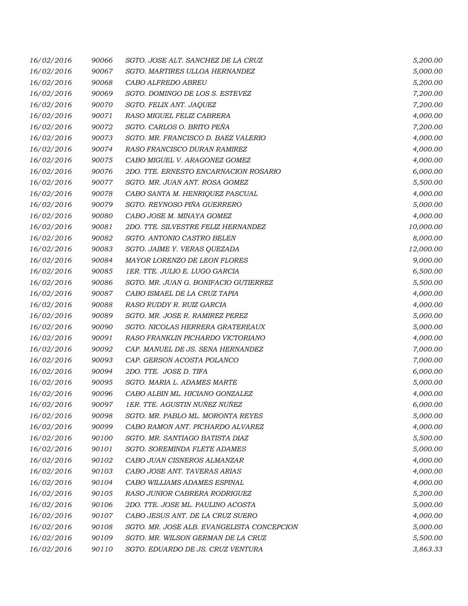| 16/02/2016 | 90066 | SGTO. JOSE ALT. SANCHEZ DE LA CRUZ         | 5,200.00  |
|------------|-------|--------------------------------------------|-----------|
| 16/02/2016 | 90067 | SGTO. MARTIRES ULLOA HERNANDEZ             | 5,000.00  |
| 16/02/2016 | 90068 | CABO ALFREDO ABREU                         | 5,200.00  |
| 16/02/2016 | 90069 | SGTO. DOMINGO DE LOS S. ESTEVEZ            | 7,200.00  |
| 16/02/2016 | 90070 | SGTO. FELIX ANT. JAQUEZ                    | 7,200.00  |
| 16/02/2016 | 90071 | RASO MIGUEL FELIZ CABRERA                  | 4,000.00  |
| 16/02/2016 | 90072 | SGTO. CARLOS O. BRITO PEÑA                 | 7,200.00  |
| 16/02/2016 | 90073 | SGTO. MR. FRANCISCO D. BAEZ VALERIO        | 4,000.00  |
| 16/02/2016 | 90074 | RASO FRANCISCO DURAN RAMIREZ               | 4,000.00  |
| 16/02/2016 | 90075 | CABO MIGUEL V. ARAGONEZ GOMEZ              | 4,000.00  |
| 16/02/2016 | 90076 | 2DO. TTE. ERNESTO ENCARNACION ROSARIO      | 6,000.00  |
| 16/02/2016 | 90077 | SGTO. MR. JUAN ANT. ROSA GOMEZ             | 5,500.00  |
| 16/02/2016 | 90078 | CABO SANTA M. HENRIQUEZ PASCUAL            | 4,000.00  |
| 16/02/2016 | 90079 | SGTO. REYNOSO PIÑA GUERRERO                | 5,000.00  |
| 16/02/2016 | 90080 | CABO JOSE M. MINAYA GOMEZ                  | 4,000.00  |
| 16/02/2016 | 90081 | 2DO. TTE. SILVESTRE FELIZ HERNANDEZ        | 10,000.00 |
| 16/02/2016 | 90082 | SGTO. ANTONIO CASTRO BELEN                 | 8,000.00  |
| 16/02/2016 | 90083 | SGTO. JAIME Y. VERAS QUEZADA               | 12,000.00 |
| 16/02/2016 | 90084 | MAYOR LORENZO DE LEON FLORES               | 9,000.00  |
| 16/02/2016 | 90085 | 1ER. TTE. JULIO E. LUGO GARCIA             | 6,500.00  |
| 16/02/2016 | 90086 | SGTO. MR. JUAN G. BONIFACIO GUTIERREZ      | 5,500.00  |
| 16/02/2016 | 90087 | CABO ISMAEL DE LA CRUZ TAPIA               | 4,000.00  |
| 16/02/2016 | 90088 | RASO RUDDY R. RUIZ GARCIA                  | 4,000.00  |
| 16/02/2016 | 90089 | SGTO. MR. JOSE R. RAMIREZ PEREZ            | 5,000.00  |
| 16/02/2016 | 90090 | SGTO. NICOLAS HERRERA GRATEREAUX           | 5,000.00  |
| 16/02/2016 | 90091 | RASO FRANKLIN PICHARDO VICTORIANO          | 4,000.00  |
| 16/02/2016 | 90092 | CAP. MANUEL DE JS. SENA HERNANDEZ          | 7,000.00  |
| 16/02/2016 | 90093 | CAP. GERSON ACOSTA POLANCO                 | 7,000.00  |
| 16/02/2016 | 90094 | 2DO. TTE. JOSE D. TIFA                     | 6,000.00  |
| 16/02/2016 | 90095 | SGTO. MARIA L. ADAMES MARTE                | 5,000.00  |
| 16/02/2016 | 90096 | CABO ALBIN ML. HICIANO GONZALEZ            | 4,000.00  |
| 16/02/2016 | 90097 | 1ER. TTE. AGUSTIN NUÑEZ NUÑEZ              | 6,000.00  |
| 16/02/2016 | 90098 | SGTO. MR. PABLO ML. MORONTA REYES          | 5,000.00  |
| 16/02/2016 | 90099 | CABO RAMON ANT. PICHARDO ALVAREZ           | 4,000.00  |
| 16/02/2016 | 90100 | SGTO. MR. SANTIAGO BATISTA DIAZ            | 5,500.00  |
| 16/02/2016 | 90101 | SGTO. SOREMINDA FLETE ADAMES               | 5,000.00  |
| 16/02/2016 | 90102 | CABO JUAN CISNEROS ALMANZAR                | 4,000.00  |
| 16/02/2016 | 90103 | CABO JOSE ANT. TAVERAS ARIAS               | 4,000.00  |
| 16/02/2016 | 90104 | CABO WILLIAMS ADAMES ESPINAL               | 4,000.00  |
| 16/02/2016 | 90105 | RASO JUNIOR CABRERA RODRIGUEZ              | 5,200.00  |
| 16/02/2016 | 90106 | 2DO. TTE. JOSE ML. PAULINO ACOSTA          | 5,000.00  |
| 16/02/2016 | 90107 | CABO JESUS ANT. DE LA CRUZ SUERO           | 4,000.00  |
| 16/02/2016 | 90108 | SGTO. MR. JOSE ALB. EVANGELISTA CONCEPCION | 5,000.00  |
| 16/02/2016 | 90109 | SGTO. MR. WILSON GERMAN DE LA CRUZ         | 5,500.00  |
| 16/02/2016 | 90110 | SGTO. EDUARDO DE JS. CRUZ VENTURA          | 3,863.33  |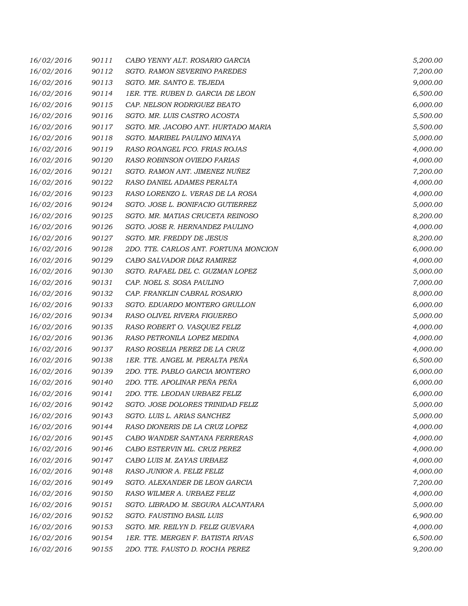| 16/02/2016 | 90111 | CABO YENNY ALT. ROSARIO GARCIA        | 5,200.00 |
|------------|-------|---------------------------------------|----------|
| 16/02/2016 | 90112 | SGTO. RAMON SEVERINO PAREDES          | 7,200.00 |
| 16/02/2016 | 90113 | SGTO. MR. SANTO E. TEJEDA             | 9,000.00 |
| 16/02/2016 | 90114 | 1ER. TTE. RUBEN D. GARCIA DE LEON     | 6,500.00 |
| 16/02/2016 | 90115 | CAP. NELSON RODRIGUEZ BEATO           | 6,000.00 |
| 16/02/2016 | 90116 | SGTO. MR. LUIS CASTRO ACOSTA          | 5,500.00 |
| 16/02/2016 | 90117 | SGTO. MR. JACOBO ANT. HURTADO MARIA   | 5,500.00 |
| 16/02/2016 | 90118 | SGTO. MARIBEL PAULINO MINAYA          | 5,000.00 |
| 16/02/2016 | 90119 | RASO ROANGEL FCO. FRIAS ROJAS         | 4,000.00 |
| 16/02/2016 | 90120 | RASO ROBINSON OVIEDO FARIAS           | 4,000.00 |
| 16/02/2016 | 90121 | SGTO. RAMON ANT. JIMENEZ NUÑEZ        | 7,200.00 |
| 16/02/2016 | 90122 | RASO DANIEL ADAMES PERALTA            | 4,000.00 |
| 16/02/2016 | 90123 | RASO LORENZO L. VERAS DE LA ROSA      | 4,000.00 |
| 16/02/2016 | 90124 | SGTO. JOSE L. BONIFACIO GUTIERREZ     | 5,000.00 |
| 16/02/2016 | 90125 | SGTO. MR. MATIAS CRUCETA REINOSO      | 8,200.00 |
| 16/02/2016 | 90126 | SGTO. JOSE R. HERNANDEZ PAULINO       | 4,000.00 |
| 16/02/2016 | 90127 | SGTO. MR. FREDDY DE JESUS             | 8,200.00 |
| 16/02/2016 | 90128 | 2DO. TTE. CARLOS ANT. FORTUNA MONCION | 6,000.00 |
| 16/02/2016 | 90129 | CABO SALVADOR DIAZ RAMIREZ            | 4,000.00 |
| 16/02/2016 | 90130 | SGTO. RAFAEL DEL C. GUZMAN LOPEZ      | 5,000.00 |
| 16/02/2016 | 90131 | CAP. NOEL S. SOSA PAULINO             | 7,000.00 |
| 16/02/2016 | 90132 | CAP. FRANKLIN CABRAL ROSARIO          | 8,000.00 |
| 16/02/2016 | 90133 | SGTO. EDUARDO MONTERO GRULLON         | 6,000.00 |
| 16/02/2016 | 90134 | RASO OLIVEL RIVERA FIGUEREO           | 5,000.00 |
| 16/02/2016 | 90135 | RASO ROBERT O. VASQUEZ FELIZ          | 4,000.00 |
| 16/02/2016 | 90136 | RASO PETRONILA LOPEZ MEDINA           | 4,000.00 |
| 16/02/2016 | 90137 | RASO ROSELIA PEREZ DE LA CRUZ         | 4,000.00 |
| 16/02/2016 | 90138 | 1ER. TTE. ANGEL M. PERALTA PEÑA       | 6,500.00 |
| 16/02/2016 | 90139 | 2DO. TTE. PABLO GARCIA MONTERO        | 6,000.00 |
| 16/02/2016 | 90140 | 2DO. TTE. APOLINAR PEÑA PEÑA          | 6,000.00 |
| 16/02/2016 | 90141 | 2DO. TTE. LEODAN URBAEZ FELIZ         | 6,000.00 |
| 16/02/2016 | 90142 | SGTO. JOSE DOLORES TRINIDAD FELIZ     | 5,000.00 |
| 16/02/2016 | 90143 | SGTO. LUIS L. ARIAS SANCHEZ           | 5,000.00 |
| 16/02/2016 | 90144 | RASO DIONERIS DE LA CRUZ LOPEZ        | 4,000.00 |
| 16/02/2016 | 90145 | CABO WANDER SANTANA FERRERAS          | 4,000.00 |
| 16/02/2016 | 90146 | CABO ESTERVIN ML. CRUZ PEREZ          | 4,000.00 |
| 16/02/2016 | 90147 | CABO LUIS M. ZAYAS URBAEZ             | 4,000.00 |
| 16/02/2016 | 90148 | RASO JUNIOR A. FELIZ FELIZ            | 4,000.00 |
| 16/02/2016 | 90149 | SGTO. ALEXANDER DE LEON GARCIA        | 7,200.00 |
| 16/02/2016 | 90150 | RASO WILMER A. URBAEZ FELIZ           | 4,000.00 |
| 16/02/2016 | 90151 | SGTO. LIBRADO M. SEGURA ALCANTARA     | 5,000.00 |
| 16/02/2016 | 90152 | SGTO. FAUSTINO BASIL LUIS             | 6,900.00 |
| 16/02/2016 | 90153 | SGTO. MR. REILYN D. FELIZ GUEVARA     | 4,000.00 |
| 16/02/2016 | 90154 | 1ER. TTE. MERGEN F. BATISTA RIVAS     | 6,500.00 |
| 16/02/2016 | 90155 | 2DO. TTE. FAUSTO D. ROCHA PEREZ       | 9,200.00 |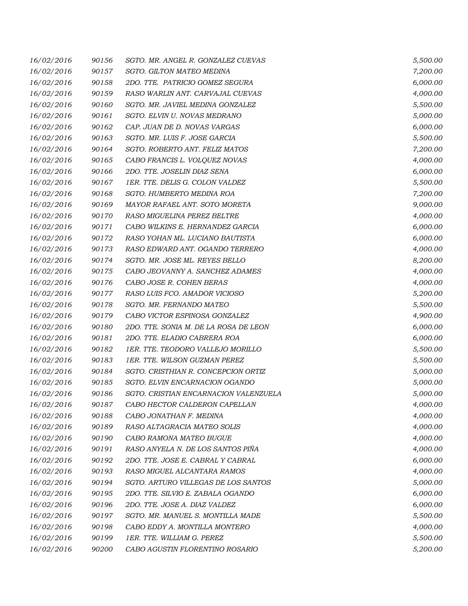| 16/02/2016 | 90156 | SGTO. MR. ANGEL R. GONZALEZ CUEVAS    | 5,500.00 |
|------------|-------|---------------------------------------|----------|
| 16/02/2016 | 90157 | SGTO. GILTON MATEO MEDINA             | 7,200.00 |
| 16/02/2016 | 90158 | 2DO. TTE. PATRICIO GOMEZ SEGURA       | 6,000.00 |
| 16/02/2016 | 90159 | RASO WARLIN ANT. CARVAJAL CUEVAS      | 4,000.00 |
| 16/02/2016 | 90160 | SGTO. MR. JAVIEL MEDINA GONZALEZ      | 5,500.00 |
| 16/02/2016 | 90161 | SGTO. ELVIN U. NOVAS MEDRANO          | 5,000.00 |
| 16/02/2016 | 90162 | CAP. JUAN DE D. NOVAS VARGAS          | 6,000.00 |
| 16/02/2016 | 90163 | SGTO. MR. LUIS F. JOSE GARCIA         | 5,500.00 |
| 16/02/2016 | 90164 | SGTO. ROBERTO ANT. FELIZ MATOS        | 7,200.00 |
| 16/02/2016 | 90165 | CABO FRANCIS L. VOLQUEZ NOVAS         | 4,000.00 |
| 16/02/2016 | 90166 | 2DO. TTE. JOSELIN DIAZ SENA           | 6,000.00 |
| 16/02/2016 | 90167 | 1ER. TTE. DELIS G. COLON VALDEZ       | 5,500.00 |
| 16/02/2016 | 90168 | SGTO. HUMBERTO MEDINA ROA             | 7,200.00 |
| 16/02/2016 | 90169 | MAYOR RAFAEL ANT. SOTO MORETA         | 9,000.00 |
| 16/02/2016 | 90170 | RASO MIGUELINA PEREZ BELTRE           | 4,000.00 |
| 16/02/2016 | 90171 | CABO WILKINS E. HERNANDEZ GARCIA      | 6,000.00 |
| 16/02/2016 | 90172 | RASO YOHAN ML. LUCIANO BAUTISTA       | 6,000.00 |
| 16/02/2016 | 90173 | RASO EDWARD ANT. OGANDO TERRERO       | 4,000.00 |
| 16/02/2016 | 90174 | SGTO. MR. JOSE ML. REYES BELLO        | 8,200.00 |
| 16/02/2016 | 90175 | CABO JEOVANNY A. SANCHEZ ADAMES       | 4,000.00 |
| 16/02/2016 | 90176 | CABO JOSE R. COHEN BERAS              | 4,000.00 |
| 16/02/2016 | 90177 | RASO LUIS FCO. AMADOR VICIOSO         | 5,200.00 |
| 16/02/2016 | 90178 | SGTO. MR. FERNANDO MATEO              | 5,500.00 |
| 16/02/2016 | 90179 | CABO VICTOR ESPINOSA GONZALEZ         | 4,900.00 |
| 16/02/2016 | 90180 | 2DO. TTE. SONIA M. DE LA ROSA DE LEON | 6,000.00 |
| 16/02/2016 | 90181 | 2DO. TTE. ELADIO CABRERA ROA          | 6,000.00 |
| 16/02/2016 | 90182 | 1ER. TTE. TEODORO VALLEJO MORILLO     | 5,500.00 |
| 16/02/2016 | 90183 | 1ER. TTE. WILSON GUZMAN PEREZ         | 5,500.00 |
| 16/02/2016 | 90184 | SGTO. CRISTHIAN R. CONCEPCION ORTIZ   | 5,000.00 |
| 16/02/2016 | 90185 | SGTO. ELVIN ENCARNACION OGANDO        | 5,000.00 |
| 16/02/2016 | 90186 | SGTO. CRISTIAN ENCARNACION VALENZUELA | 5,000.00 |
| 16/02/2016 | 90187 | CABO HECTOR CALDERON CAPELLAN         | 4,000.00 |
| 16/02/2016 | 90188 | CABO JONATHAN F. MEDINA               | 4,000.00 |
| 16/02/2016 | 90189 | RASO ALTAGRACIA MATEO SOLIS           | 4,000.00 |
| 16/02/2016 | 90190 | CABO RAMONA MATEO BUGUE               | 4,000.00 |
| 16/02/2016 | 90191 | RASO ANYELA N. DE LOS SANTOS PIÑA     | 4,000.00 |
| 16/02/2016 | 90192 | 2DO. TTE. JOSE E. CABRAL Y CABRAL     | 6,000.00 |
| 16/02/2016 | 90193 | RASO MIGUEL ALCANTARA RAMOS           | 4,000.00 |
| 16/02/2016 | 90194 | SGTO. ARTURO VILLEGAS DE LOS SANTOS   | 5,000.00 |
| 16/02/2016 | 90195 | 2DO. TTE. SILVIO E. ZABALA OGANDO     | 6,000.00 |
| 16/02/2016 | 90196 | 2DO. TTE. JOSE A. DIAZ VALDEZ         | 6,000.00 |
| 16/02/2016 | 90197 | SGTO. MR. MANUEL S. MONTILLA MADE     | 5,500.00 |
| 16/02/2016 | 90198 | CABO EDDY A. MONTILLA MONTERO         | 4,000.00 |
| 16/02/2016 | 90199 | 1ER. TTE. WILLIAM G. PEREZ            | 5,500.00 |
| 16/02/2016 | 90200 | CABO AGUSTIN FLORENTINO ROSARIO       | 5,200.00 |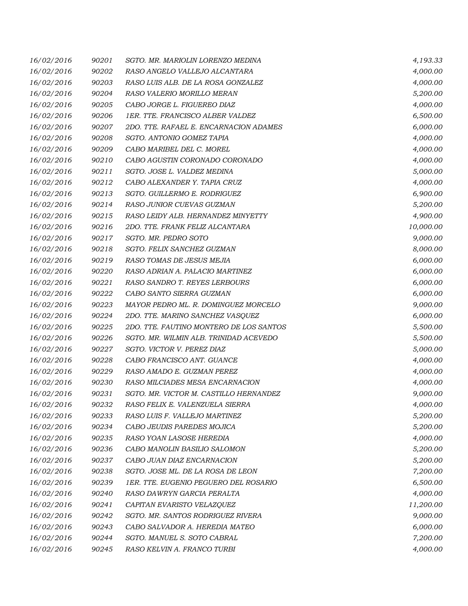| 16/02/2016 | 90201 | SGTO. MR. MARIOLIN LORENZO MEDINA       | 4,193.33  |
|------------|-------|-----------------------------------------|-----------|
| 16/02/2016 | 90202 | RASO ANGELO VALLEJO ALCANTARA           | 4,000.00  |
| 16/02/2016 | 90203 | RASO LUIS ALB. DE LA ROSA GONZALEZ      | 4,000.00  |
| 16/02/2016 | 90204 | RASO VALERIO MORILLO MERAN              | 5,200.00  |
| 16/02/2016 | 90205 | CABO JORGE L. FIGUEREO DIAZ             | 4,000.00  |
| 16/02/2016 | 90206 | 1ER. TTE. FRANCISCO ALBER VALDEZ        | 6,500.00  |
| 16/02/2016 | 90207 | 2DO. TTE. RAFAEL E. ENCARNACION ADAMES  | 6,000.00  |
| 16/02/2016 | 90208 | SGTO. ANTONIO GOMEZ TAPIA               | 4,000.00  |
| 16/02/2016 | 90209 | CABO MARIBEL DEL C. MOREL               | 4,000.00  |
| 16/02/2016 | 90210 | CABO AGUSTIN CORONADO CORONADO          | 4,000.00  |
| 16/02/2016 | 90211 | SGTO. JOSE L. VALDEZ MEDINA             | 5,000.00  |
| 16/02/2016 | 90212 | CABO ALEXANDER Y. TAPIA CRUZ            | 4,000.00  |
| 16/02/2016 | 90213 | SGTO. GUILLERMO E. RODRIGUEZ            | 6,900.00  |
| 16/02/2016 | 90214 | RASO JUNIOR CUEVAS GUZMAN               | 5,200.00  |
| 16/02/2016 | 90215 | RASO LEIDY ALB. HERNANDEZ MINYETTY      | 4,900.00  |
| 16/02/2016 | 90216 | 2DO. TTE. FRANK FELIZ ALCANTARA         | 10,000.00 |
| 16/02/2016 | 90217 | SGTO. MR. PEDRO SOTO                    | 9,000.00  |
| 16/02/2016 | 90218 | SGTO. FELIX SANCHEZ GUZMAN              | 8,000.00  |
| 16/02/2016 | 90219 | RASO TOMAS DE JESUS MEJIA               | 6,000.00  |
| 16/02/2016 | 90220 | RASO ADRIAN A. PALACIO MARTINEZ         | 6,000.00  |
| 16/02/2016 | 90221 | RASO SANDRO T. REYES LERBOURS           | 6,000.00  |
| 16/02/2016 | 90222 | CABO SANTO SIERRA GUZMAN                | 6,000.00  |
| 16/02/2016 | 90223 | MAYOR PEDRO ML. R. DOMINGUEZ MORCELO    | 9,000.00  |
| 16/02/2016 | 90224 | 2DO. TTE. MARINO SANCHEZ VASQUEZ        | 6,000.00  |
| 16/02/2016 | 90225 | 2DO. TTE. FAUTINO MONTERO DE LOS SANTOS | 5,500.00  |
| 16/02/2016 | 90226 | SGTO. MR. WILMIN ALB. TRINIDAD ACEVEDO  | 5,500.00  |
| 16/02/2016 | 90227 | SGTO. VICTOR V. PEREZ DIAZ              | 5,000.00  |
| 16/02/2016 | 90228 | CABO FRANCISCO ANT. GUANCE              | 4,000.00  |
| 16/02/2016 | 90229 | RASO AMADO E. GUZMAN PEREZ              | 4,000.00  |
| 16/02/2016 | 90230 | RASO MILCIADES MESA ENCARNACION         | 4,000.00  |
| 16/02/2016 | 90231 | SGTO. MR. VICTOR M. CASTILLO HERNANDEZ  | 9,000.00  |
| 16/02/2016 | 90232 | RASO FELIX E. VALENZUELA SIERRA         | 4,000.00  |
| 16/02/2016 | 90233 | RASO LUIS F. VALLEJO MARTINEZ           | 5,200.00  |
| 16/02/2016 | 90234 | CABO JEUDIS PAREDES MOJICA              | 5,200.00  |
| 16/02/2016 | 90235 | RASO YOAN LASOSE HEREDIA                | 4,000.00  |
| 16/02/2016 | 90236 | CABO MANOLIN BASILIO SALOMON            | 5,200.00  |
| 16/02/2016 | 90237 | CABO JUAN DIAZ ENCARNACION              | 5,200.00  |
| 16/02/2016 | 90238 | SGTO. JOSE ML. DE LA ROSA DE LEON       | 7,200.00  |
| 16/02/2016 | 90239 | 1ER. TTE. EUGENIO PEGUERO DEL ROSARIO   | 6,500.00  |
| 16/02/2016 | 90240 | RASO DAWRYN GARCIA PERALTA              | 4,000.00  |
| 16/02/2016 | 90241 | CAPITAN EVARISTO VELAZQUEZ              | 11,200.00 |
| 16/02/2016 | 90242 | SGTO. MR. SANTOS RODRIGUEZ RIVERA       | 9,000.00  |
| 16/02/2016 | 90243 | CABO SALVADOR A. HEREDIA MATEO          | 6,000.00  |
| 16/02/2016 | 90244 | SGTO. MANUEL S. SOTO CABRAL             | 7,200.00  |
| 16/02/2016 | 90245 | RASO KELVIN A. FRANCO TURBI             | 4,000.00  |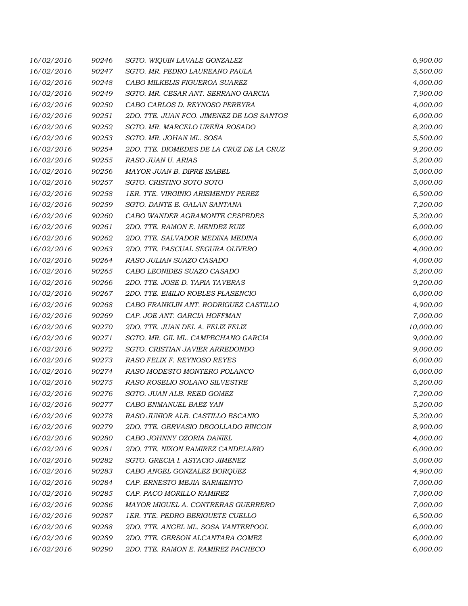| 16/02/2016 | 90246 | SGTO. WIQUIN LAVALE GONZALEZ              | 6,900.00  |
|------------|-------|-------------------------------------------|-----------|
| 16/02/2016 | 90247 | SGTO. MR. PEDRO LAUREANO PAULA            | 5,500.00  |
| 16/02/2016 | 90248 | CABO MILKELIS FIGUEROA SUAREZ             | 4,000.00  |
| 16/02/2016 | 90249 | SGTO. MR. CESAR ANT. SERRANO GARCIA       | 7,900.00  |
| 16/02/2016 | 90250 | CABO CARLOS D. REYNOSO PEREYRA            | 4,000.00  |
| 16/02/2016 | 90251 | 2DO. TTE. JUAN FCO. JIMENEZ DE LOS SANTOS | 6,000.00  |
| 16/02/2016 | 90252 | SGTO. MR. MARCELO UREÑA ROSADO            | 8,200.00  |
| 16/02/2016 | 90253 | SGTO. MR. JOHAN ML. SOSA                  | 5,500.00  |
| 16/02/2016 | 90254 | 2DO. TTE. DIOMEDES DE LA CRUZ DE LA CRUZ  | 9,200.00  |
| 16/02/2016 | 90255 | RASO JUAN U. ARIAS                        | 5,200.00  |
| 16/02/2016 | 90256 | MAYOR JUAN B. DIPRE ISABEL                | 5,000.00  |
| 16/02/2016 | 90257 | SGTO. CRISTINO SOTO SOTO                  | 5,000.00  |
| 16/02/2016 | 90258 | 1ER. TTE. VIRGINIO ARISMENDY PEREZ        | 6,500.00  |
| 16/02/2016 | 90259 | SGTO. DANTE E. GALAN SANTANA              | 7,200.00  |
| 16/02/2016 | 90260 | CABO WANDER AGRAMONTE CESPEDES            | 5,200.00  |
| 16/02/2016 | 90261 | 2DO. TTE. RAMON E. MENDEZ RUIZ            | 6,000.00  |
| 16/02/2016 | 90262 | 2DO. TTE. SALVADOR MEDINA MEDINA          | 6,000.00  |
| 16/02/2016 | 90263 | 2DO. TTE. PASCUAL SEGURA OLIVERO          | 4,000.00  |
| 16/02/2016 | 90264 | RASO JULIAN SUAZO CASADO                  | 4,000.00  |
| 16/02/2016 | 90265 | CABO LEONIDES SUAZO CASADO                | 5,200.00  |
| 16/02/2016 | 90266 | 2DO. TTE. JOSE D. TAPIA TAVERAS           | 9,200.00  |
| 16/02/2016 | 90267 | 2DO. TTE. EMILIO ROBLES PLASENCIO         | 6,000.00  |
| 16/02/2016 | 90268 | CABO FRANKLIN ANT. RODRIGUEZ CASTILLO     | 4,900.00  |
| 16/02/2016 | 90269 | CAP. JOE ANT. GARCIA HOFFMAN              | 7,000.00  |
| 16/02/2016 | 90270 | 2DO. TTE. JUAN DEL A. FELIZ FELIZ         | 10,000.00 |
| 16/02/2016 | 90271 | SGTO. MR. GIL ML. CAMPECHANO GARCIA       | 9,000.00  |
| 16/02/2016 | 90272 | SGTO. CRISTIAN JAVIER ARREDONDO           | 9,000.00  |
| 16/02/2016 | 90273 | RASO FELIX F. REYNOSO REYES               | 6,000.00  |
| 16/02/2016 | 90274 | RASO MODESTO MONTERO POLANCO              | 6,000.00  |
| 16/02/2016 | 90275 | RASO ROSELIO SOLANO SILVESTRE             | 5,200.00  |
| 16/02/2016 | 90276 | SGTO. JUAN ALB. REED GOMEZ                | 7,200.00  |
| 16/02/2016 | 90277 | CABO ENMANUEL BAEZ YAN                    | 5,200.00  |
| 16/02/2016 | 90278 | RASO JUNIOR ALB. CASTILLO ESCANIO         | 5,200.00  |
| 16/02/2016 | 90279 | 2DO. TTE. GERVASIO DEGOLLADO RINCON       | 8,900.00  |
| 16/02/2016 | 90280 | CABO JOHNNY OZORIA DANIEL                 | 4,000.00  |
| 16/02/2016 | 90281 | 2DO. TTE. NIXON RAMIREZ CANDELARIO        | 6,000.00  |
| 16/02/2016 | 90282 | SGTO. GRECIA I. ASTACIO JIMENEZ           | 5,000.00  |
| 16/02/2016 | 90283 | CABO ANGEL GONZALEZ BORQUEZ               | 4,900.00  |
| 16/02/2016 | 90284 | CAP. ERNESTO MEJIA SARMIENTO              | 7,000.00  |
| 16/02/2016 | 90285 | CAP. PACO MORILLO RAMIREZ                 | 7,000.00  |
| 16/02/2016 | 90286 | MAYOR MIGUEL A. CONTRERAS GUERRERO        | 7,000.00  |
| 16/02/2016 | 90287 | 1ER. TTE. PEDRO BERIGUETE CUELLO          | 6,500.00  |
| 16/02/2016 | 90288 | 2DO. TTE. ANGEL ML. SOSA VANTERPOOL       | 6,000.00  |
| 16/02/2016 | 90289 | 2DO. TTE. GERSON ALCANTARA GOMEZ          | 6,000.00  |
| 16/02/2016 | 90290 | 2DO. TTE. RAMON E. RAMIREZ PACHECO        | 6,000.00  |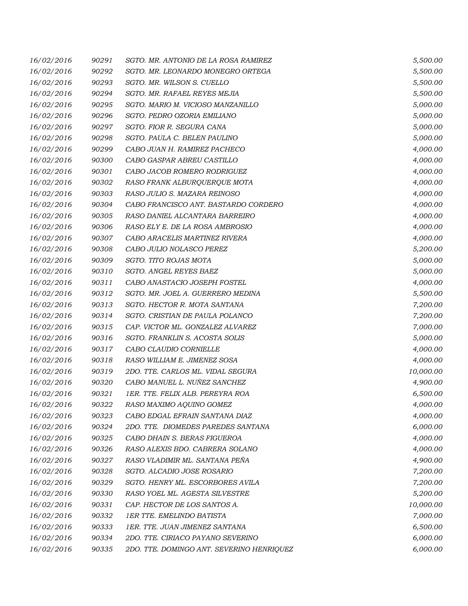| 16/02/2016 | 90291 | SGTO. MR. ANTONIO DE LA ROSA RAMIREZ      | 5,500.00  |
|------------|-------|-------------------------------------------|-----------|
| 16/02/2016 | 90292 | SGTO. MR. LEONARDO MONEGRO ORTEGA         | 5,500.00  |
| 16/02/2016 | 90293 | SGTO. MR. WILSON S. CUELLO                | 5,500.00  |
| 16/02/2016 | 90294 | SGTO. MR. RAFAEL REYES MEJIA              | 5,500.00  |
| 16/02/2016 | 90295 | SGTO. MARIO M. VICIOSO MANZANILLO         | 5,000.00  |
| 16/02/2016 | 90296 | SGTO. PEDRO OZORIA EMILIANO               | 5,000.00  |
| 16/02/2016 | 90297 | SGTO. FIOR R. SEGURA CANA                 | 5,000.00  |
| 16/02/2016 | 90298 | SGTO. PAULA C. BELEN PAULINO              | 5,000.00  |
| 16/02/2016 | 90299 | CABO JUAN H. RAMIREZ PACHECO              | 4,000.00  |
| 16/02/2016 | 90300 | CABO GASPAR ABREU CASTILLO                | 4,000.00  |
| 16/02/2016 | 90301 | CABO JACOB ROMERO RODRIGUEZ               | 4,000.00  |
| 16/02/2016 | 90302 | RASO FRANK ALBURQUERQUE MOTA              | 4,000.00  |
| 16/02/2016 | 90303 | RASO JULIO S. MAZARA REINOSO              | 4,000.00  |
| 16/02/2016 | 90304 | CABO FRANCISCO ANT. BASTARDO CORDERO      | 4,000.00  |
| 16/02/2016 | 90305 | RASO DANIEL ALCANTARA BARREIRO            | 4,000.00  |
| 16/02/2016 | 90306 | RASO ELY E. DE LA ROSA AMBROSIO           | 4,000.00  |
| 16/02/2016 | 90307 | CABO ARACELIS MARTINEZ RIVERA             | 4,000.00  |
| 16/02/2016 | 90308 | CABO JULIO NOLASCO PEREZ                  | 5,200.00  |
| 16/02/2016 | 90309 | SGTO. TITO ROJAS MOTA                     | 5,000.00  |
| 16/02/2016 | 90310 | SGTO. ANGEL REYES BAEZ                    | 5,000.00  |
| 16/02/2016 | 90311 | CABO ANASTACIO JOSEPH FOSTEL              | 4,000.00  |
| 16/02/2016 | 90312 | SGTO. MR. JOEL A. GUERRERO MEDINA         | 5,500.00  |
| 16/02/2016 | 90313 | SGTO. HECTOR R. MOTA SANTANA              | 7,200.00  |
| 16/02/2016 | 90314 | SGTO. CRISTIAN DE PAULA POLANCO           | 7,200.00  |
| 16/02/2016 | 90315 | CAP. VICTOR ML. GONZALEZ ALVAREZ          | 7,000.00  |
| 16/02/2016 | 90316 | SGTO. FRANKLIN S. ACOSTA SOLIS            | 5,000.00  |
| 16/02/2016 | 90317 | CABO CLAUDIO CORNIELLE                    | 4,000.00  |
| 16/02/2016 | 90318 | RASO WILLIAM E. JIMENEZ SOSA              | 4,000.00  |
| 16/02/2016 | 90319 | 2DO. TTE. CARLOS ML. VIDAL SEGURA         | 10,000.00 |
| 16/02/2016 | 90320 | CABO MANUEL L. NUÑEZ SANCHEZ              | 4,900.00  |
| 16/02/2016 | 90321 | 1ER. TTE. FELIX ALB. PEREYRA ROA          | 6,500.00  |
| 16/02/2016 | 90322 | RASO MAXIMO AQUINO GOMEZ                  | 4,000.00  |
| 16/02/2016 | 90323 | CABO EDGAL EFRAIN SANTANA DIAZ            | 4,000.00  |
| 16/02/2016 | 90324 | 2DO. TTE. DIOMEDES PAREDES SANTANA        | 6,000.00  |
| 16/02/2016 | 90325 | CABO DHAIN S. BERAS FIGUEROA              | 4,000.00  |
| 16/02/2016 | 90326 | RASO ALEXIS BDO. CABRERA SOLANO           | 4,000.00  |
| 16/02/2016 | 90327 | RASO VLADIMIR ML. SANTANA PEÑA            | 4,900.00  |
| 16/02/2016 | 90328 | SGTO. ALCADIO JOSE ROSARIO                | 7,200.00  |
| 16/02/2016 | 90329 | SGTO. HENRY ML. ESCORBORES AVILA          | 7,200.00  |
| 16/02/2016 | 90330 | RASO YOEL ML. AGESTA SILVESTRE            | 5,200.00  |
| 16/02/2016 | 90331 | CAP. HECTOR DE LOS SANTOS A.              | 10,000.00 |
| 16/02/2016 | 90332 | <b>1ER TTE, EMELINDO BATISTA</b>          | 7,000.00  |
| 16/02/2016 | 90333 | 1ER. TTE. JUAN JIMENEZ SANTANA            | 6,500.00  |
| 16/02/2016 | 90334 | 2DO. TTE. CIRIACO PAYANO SEVERINO         | 6,000.00  |
| 16/02/2016 | 90335 | 2DO. TTE. DOMINGO ANT. SEVERINO HENRIQUEZ | 6,000.00  |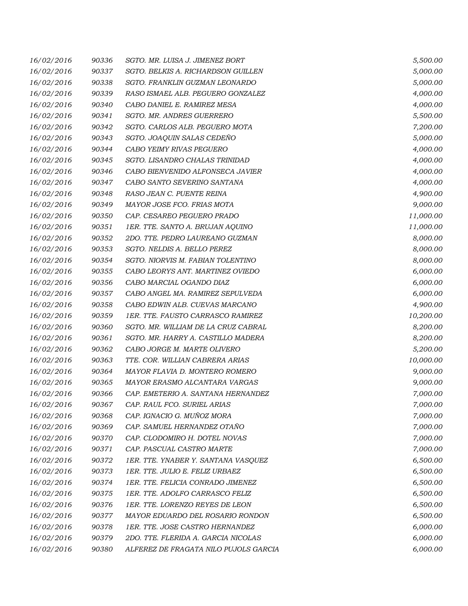| 16/02/2016 | 90336 | SGTO. MR. LUISA J. JIMENEZ BORT       | 5,500.00  |
|------------|-------|---------------------------------------|-----------|
| 16/02/2016 | 90337 | SGTO. BELKIS A. RICHARDSON GUILLEN    | 5,000.00  |
| 16/02/2016 | 90338 | SGTO. FRANKLIN GUZMAN LEONARDO        | 5,000.00  |
| 16/02/2016 | 90339 | RASO ISMAEL ALB. PEGUERO GONZALEZ     | 4,000.00  |
| 16/02/2016 | 90340 | CABO DANIEL E. RAMIREZ MESA           | 4,000.00  |
| 16/02/2016 | 90341 | SGTO. MR. ANDRES GUERRERO             | 5,500.00  |
| 16/02/2016 | 90342 | SGTO. CARLOS ALB. PEGUERO MOTA        | 7,200.00  |
| 16/02/2016 | 90343 | SGTO. JOAQUIN SALAS CEDENO            | 5,000.00  |
| 16/02/2016 | 90344 | CABO YEIMY RIVAS PEGUERO              | 4,000.00  |
| 16/02/2016 | 90345 | SGTO. LISANDRO CHALAS TRINIDAD        | 4,000.00  |
| 16/02/2016 | 90346 | CABO BIENVENIDO ALFONSECA JAVIER      | 4,000.00  |
| 16/02/2016 | 90347 | CABO SANTO SEVERINO SANTANA           | 4,000.00  |
| 16/02/2016 | 90348 | RASO JEAN C. PUENTE REINA             | 4,900.00  |
| 16/02/2016 | 90349 | MAYOR JOSE FCO. FRIAS MOTA            | 9,000.00  |
| 16/02/2016 | 90350 | CAP. CESAREO PEGUERO PRADO            | 11,000.00 |
| 16/02/2016 | 90351 | 1ER. TTE. SANTO A. BRUJAN AQUINO      | 11,000.00 |
| 16/02/2016 | 90352 | 2DO. TTE. PEDRO LAUREANO GUZMAN       | 8,000.00  |
| 16/02/2016 | 90353 | SGTO. NELDIS A. BELLO PEREZ           | 8,000.00  |
| 16/02/2016 | 90354 | SGTO. NIORVIS M. FABIAN TOLENTINO     | 8,000.00  |
| 16/02/2016 | 90355 | CABO LEORYS ANT. MARTINEZ OVIEDO      | 6,000.00  |
| 16/02/2016 | 90356 | CABO MARCIAL OGANDO DIAZ              | 6,000.00  |
| 16/02/2016 | 90357 | CABO ANGEL MA. RAMIREZ SEPULVEDA      | 6,000.00  |
| 16/02/2016 | 90358 | CABO EDWIN ALB. CUEVAS MARCANO        | 4,900.00  |
| 16/02/2016 | 90359 | 1ER. TTE. FAUSTO CARRASCO RAMIREZ     | 10,200.00 |
| 16/02/2016 | 90360 | SGTO. MR. WILLIAM DE LA CRUZ CABRAL   | 8,200.00  |
| 16/02/2016 | 90361 | SGTO. MR. HARRY A. CASTILLO MADERA    | 8,200.00  |
| 16/02/2016 | 90362 | CABO JORGE M. MARTE OLIVERO           | 5,200.00  |
| 16/02/2016 | 90363 | TTE. COR. WILLIAN CABRERA ARIAS       | 10,000.00 |
| 16/02/2016 | 90364 | MAYOR FLAVIA D. MONTERO ROMERO        | 9,000.00  |
| 16/02/2016 | 90365 | MAYOR ERASMO ALCANTARA VARGAS         | 9,000.00  |
| 16/02/2016 | 90366 | CAP. EMETERIO A. SANTANA HERNANDEZ    | 7,000.00  |
| 16/02/2016 | 90367 | CAP. RAUL FCO. SURIEL ARIAS           | 7,000.00  |
| 16/02/2016 | 90368 | CAP. IGNACIO G. MUÑOZ MORA            | 7,000.00  |
| 16/02/2016 | 90369 | CAP. SAMUEL HERNANDEZ OTAÑO           | 7,000.00  |
| 16/02/2016 | 90370 | CAP. CLODOMIRO H. DOTEL NOVAS         | 7,000.00  |
| 16/02/2016 | 90371 | CAP. PASCUAL CASTRO MARTE             | 7,000.00  |
| 16/02/2016 | 90372 | 1ER. TTE. YNABER Y. SANTANA VASQUEZ   | 6,500.00  |
| 16/02/2016 | 90373 | 1ER. TTE. JULIO E. FELIZ URBAEZ       | 6,500.00  |
| 16/02/2016 | 90374 | 1ER. TTE. FELICIA CONRADO JIMENEZ     | 6,500.00  |
| 16/02/2016 | 90375 | 1ER. TTE. ADOLFO CARRASCO FELIZ       | 6,500.00  |
| 16/02/2016 | 90376 | 1ER. TTE. LORENZO REYES DE LEON       | 6,500.00  |
| 16/02/2016 | 90377 | MAYOR EDUARDO DEL ROSARIO RONDON      | 6,500.00  |
| 16/02/2016 | 90378 | 1ER. TTE. JOSE CASTRO HERNANDEZ       | 6,000.00  |
| 16/02/2016 | 90379 | 2DO. TTE. FLERIDA A. GARCIA NICOLAS   | 6,000.00  |
| 16/02/2016 | 90380 | ALFEREZ DE FRAGATA NILO PUJOLS GARCIA | 6,000.00  |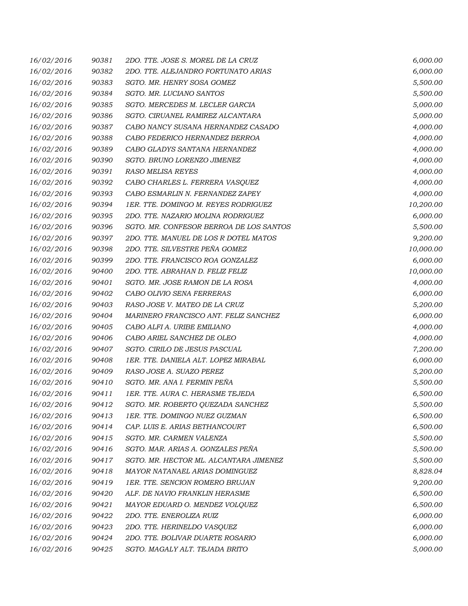| 16/02/2016 | 90381 | 2DO. TTE. JOSE S. MOREL DE LA CRUZ      | 6,000.00  |
|------------|-------|-----------------------------------------|-----------|
| 16/02/2016 | 90382 | 2DO. TTE. ALEJANDRO FORTUNATO ARIAS     | 6,000.00  |
| 16/02/2016 | 90383 | SGTO. MR. HENRY SOSA GOMEZ              | 5,500.00  |
| 16/02/2016 | 90384 | SGTO. MR. LUCIANO SANTOS                | 5,500.00  |
| 16/02/2016 | 90385 | SGTO. MERCEDES M. LECLER GARCIA         | 5,000.00  |
| 16/02/2016 | 90386 | SGTO. CIRUANEL RAMIREZ ALCANTARA        | 5,000.00  |
| 16/02/2016 | 90387 | CABO NANCY SUSANA HERNANDEZ CASADO      | 4,000.00  |
| 16/02/2016 | 90388 | CABO FEDERICO HERNANDEZ BERROA          | 4,000.00  |
| 16/02/2016 | 90389 | CABO GLADYS SANTANA HERNANDEZ           | 4,000.00  |
| 16/02/2016 | 90390 | SGTO. BRUNO LORENZO JIMENEZ             | 4,000.00  |
| 16/02/2016 | 90391 | <b>RASO MELISA REYES</b>                | 4,000.00  |
| 16/02/2016 | 90392 | CABO CHARLES L. FERRERA VASQUEZ         | 4,000.00  |
| 16/02/2016 | 90393 | CABO ESMARLIN N. FERNANDEZ ZAPEY        | 4,000.00  |
| 16/02/2016 | 90394 | 1ER. TTE. DOMINGO M. REYES RODRIGUEZ    | 10,200.00 |
| 16/02/2016 | 90395 | 2DO. TTE. NAZARIO MOLINA RODRIGUEZ      | 6,000.00  |
| 16/02/2016 | 90396 | SGTO. MR. CONFESOR BERROA DE LOS SANTOS | 5,500.00  |
| 16/02/2016 | 90397 | 2DO. TTE. MANUEL DE LOS R DOTEL MATOS   | 9,200.00  |
| 16/02/2016 | 90398 | 2DO. TTE. SILVESTRE PEÑA GOMEZ          | 10,000.00 |
| 16/02/2016 | 90399 | 2DO. TTE. FRANCISCO ROA GONZALEZ        | 6,000.00  |
| 16/02/2016 | 90400 | 2DO. TTE. ABRAHAN D. FELIZ FELIZ        | 10,000.00 |
| 16/02/2016 | 90401 | SGTO. MR. JOSE RAMON DE LA ROSA         | 4,000.00  |
| 16/02/2016 | 90402 | CABO OLIVIO SENA FERRERAS               | 6,000.00  |
| 16/02/2016 | 90403 | RASO JOSE V. MATEO DE LA CRUZ           | 5,200.00  |
| 16/02/2016 | 90404 | MARINERO FRANCISCO ANT. FELIZ SANCHEZ   | 6,000.00  |
| 16/02/2016 | 90405 | CABO ALFI A. URIBE EMILIANO             | 4,000.00  |
| 16/02/2016 | 90406 | CABO ARIEL SANCHEZ DE OLEO              | 4,000.00  |
| 16/02/2016 | 90407 | SGTO. CIRILO DE JESUS PASCUAL           | 7,200.00  |
| 16/02/2016 | 90408 | 1ER. TTE. DANIELA ALT. LOPEZ MIRABAL    | 6,000.00  |
| 16/02/2016 | 90409 | RASO JOSE A. SUAZO PEREZ                | 5,200.00  |
| 16/02/2016 | 90410 | SGTO. MR. ANA I. FERMIN PEÑA            | 5,500.00  |
| 16/02/2016 | 90411 | 1ER. TTE. AURA C. HERASME TEJEDA        | 6,500.00  |
| 16/02/2016 | 90412 | SGTO. MR. ROBERTO QUEZADA SANCHEZ       | 5,500.00  |
| 16/02/2016 | 90413 | 1ER. TTE. DOMINGO NUEZ GUZMAN           | 6,500.00  |
| 16/02/2016 | 90414 | CAP. LUIS E. ARIAS BETHANCOURT          | 6,500.00  |
| 16/02/2016 | 90415 | SGTO. MR. CARMEN VALENZA                | 5,500.00  |
| 16/02/2016 | 90416 | SGTO. MAR. ARIAS A. GONZALES PEÑA       | 5,500.00  |
| 16/02/2016 | 90417 | SGTO. MR. HECTOR ML. ALCANTARA JIMENEZ  | 5,500.00  |
| 16/02/2016 | 90418 | MAYOR NATANAEL ARIAS DOMINGUEZ          | 8,828.04  |
| 16/02/2016 | 90419 | 1ER. TTE. SENCION ROMERO BRUJAN         | 9,200.00  |
| 16/02/2016 | 90420 | ALF. DE NAVIO FRANKLIN HERASME          | 6,500.00  |
| 16/02/2016 | 90421 | MAYOR EDUARD O. MENDEZ VOLQUEZ          | 6,500.00  |
| 16/02/2016 | 90422 | 2DO. TTE. ENEROLIZA RUIZ                | 6,000.00  |
| 16/02/2016 | 90423 | 2DO. TTE. HERINELDO VASQUEZ             | 6,000.00  |
| 16/02/2016 | 90424 | 2DO. TTE. BOLIVAR DUARTE ROSARIO        | 6,000.00  |
| 16/02/2016 | 90425 | SGTO. MAGALY ALT. TEJADA BRITO          | 5,000.00  |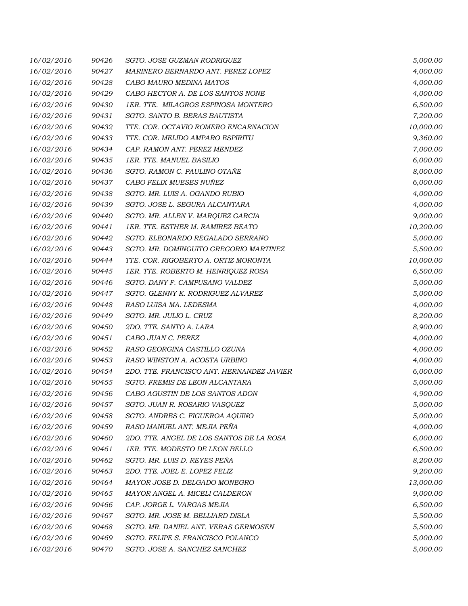| 16/02/2016 | 90426 | SGTO. JOSE GUZMAN RODRIGUEZ               | 5,000.00  |
|------------|-------|-------------------------------------------|-----------|
| 16/02/2016 | 90427 | MARINERO BERNARDO ANT. PEREZ LOPEZ        | 4,000.00  |
| 16/02/2016 | 90428 | CABO MAURO MEDINA MATOS                   | 4,000.00  |
| 16/02/2016 | 90429 | CABO HECTOR A. DE LOS SANTOS NONE         | 4,000.00  |
| 16/02/2016 | 90430 | 1ER. TTE. MILAGROS ESPINOSA MONTERO       | 6,500.00  |
| 16/02/2016 | 90431 | SGTO. SANTO B. BERAS BAUTISTA             | 7,200.00  |
| 16/02/2016 | 90432 | TTE. COR. OCTAVIO ROMERO ENCARNACION      | 10,000.00 |
| 16/02/2016 | 90433 | TTE. COR. MELIDO AMPARO ESPIRITU          | 9,360.00  |
| 16/02/2016 | 90434 | CAP. RAMON ANT. PEREZ MENDEZ              | 7,000.00  |
| 16/02/2016 | 90435 | 1ER. TTE. MANUEL BASILIO                  | 6,000.00  |
| 16/02/2016 | 90436 | SGTO. RAMON C. PAULINO OTAÑE              | 8,000.00  |
| 16/02/2016 | 90437 | CABO FELIX MUESES NUÑEZ                   | 6,000.00  |
| 16/02/2016 | 90438 | SGTO. MR. LUIS A. OGANDO RUBIO            | 4,000.00  |
| 16/02/2016 | 90439 | SGTO. JOSE L. SEGURA ALCANTARA            | 4,000.00  |
| 16/02/2016 | 90440 | SGTO. MR. ALLEN V. MARQUEZ GARCIA         | 9,000.00  |
| 16/02/2016 | 90441 | 1ER. TTE. ESTHER M. RAMIREZ BEATO         | 10,200.00 |
| 16/02/2016 | 90442 | SGTO. ELEONARDO REGALADO SERRANO          | 5,000.00  |
| 16/02/2016 | 90443 | SGTO. MR. DOMINGUITO GREGORIO MARTINEZ    | 5,500.00  |
| 16/02/2016 | 90444 | TTE. COR. RIGOBERTO A. ORTIZ MORONTA      | 10,000.00 |
| 16/02/2016 | 90445 | 1ER. TTE. ROBERTO M. HENRIQUEZ ROSA       | 6,500.00  |
| 16/02/2016 | 90446 | SGTO. DANY F. CAMPUSANO VALDEZ            | 5,000.00  |
| 16/02/2016 | 90447 | SGTO. GLENNY K. RODRIGUEZ ALVAREZ         | 5,000.00  |
| 16/02/2016 | 90448 | RASO LUISA MA. LEDESMA                    | 4,000.00  |
| 16/02/2016 | 90449 | SGTO. MR. JULIO L. CRUZ                   | 8,200.00  |
| 16/02/2016 | 90450 | 2DO. TTE. SANTO A. LARA                   | 8,900.00  |
| 16/02/2016 | 90451 | CABO JUAN C. PEREZ                        | 4,000.00  |
| 16/02/2016 | 90452 | RASO GEORGINA CASTILLO OZUNA              | 4,000.00  |
| 16/02/2016 | 90453 | RASO WINSTON A. ACOSTA URBINO             | 4,000.00  |
| 16/02/2016 | 90454 | 2DO. TTE. FRANCISCO ANT. HERNANDEZ JAVIER | 6,000.00  |
| 16/02/2016 | 90455 | SGTO. FREMIS DE LEON ALCANTARA            | 5,000.00  |
| 16/02/2016 | 90456 | CABO AGUSTIN DE LOS SANTOS ADON           | 4,900.00  |
| 16/02/2016 | 90457 | SGTO. JUAN R. ROSARIO VASQUEZ             | 5,000.00  |
| 16/02/2016 | 90458 | SGTO. ANDRES C. FIGUEROA AQUINO           | 5,000.00  |
| 16/02/2016 | 90459 | RASO MANUEL ANT. MEJIA PEÑA               | 4,000.00  |
| 16/02/2016 | 90460 | 2DO. TTE. ANGEL DE LOS SANTOS DE LA ROSA  | 6,000.00  |
| 16/02/2016 | 90461 | 1ER. TTE. MODESTO DE LEON BELLO           | 6,500.00  |
| 16/02/2016 | 90462 | SGTO. MR. LUIS D. REYES PEÑA              | 8,200.00  |
| 16/02/2016 | 90463 | 2DO. TTE. JOEL E. LOPEZ FELIZ             | 9,200.00  |
| 16/02/2016 | 90464 | MAYOR JOSE D. DELGADO MONEGRO             | 13,000.00 |
| 16/02/2016 | 90465 | MAYOR ANGEL A. MICELI CALDERON            | 9,000.00  |
| 16/02/2016 | 90466 | CAP. JORGE L. VARGAS MEJIA                | 6,500.00  |
| 16/02/2016 | 90467 | SGTO. MR. JOSE M. BELLIARD DISLA          | 5,500.00  |
| 16/02/2016 | 90468 | SGTO. MR. DANIEL ANT. VERAS GERMOSEN      | 5,500.00  |
| 16/02/2016 | 90469 | SGTO. FELIPE S. FRANCISCO POLANCO         | 5,000.00  |
| 16/02/2016 | 90470 | SGTO. JOSE A. SANCHEZ SANCHEZ             | 5,000.00  |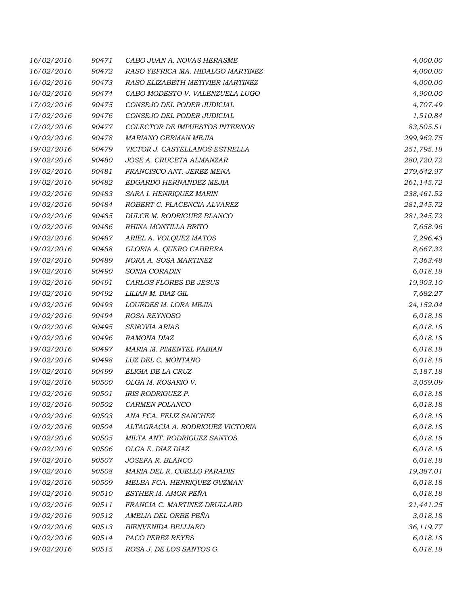| 16/02/2016 | 90471 | CABO JUAN A. NOVAS HERASME        | 4,000.00   |
|------------|-------|-----------------------------------|------------|
| 16/02/2016 | 90472 | RASO YEFRICA MA. HIDALGO MARTINEZ | 4,000.00   |
| 16/02/2016 | 90473 | RASO ELIZABETH METIVIER MARTINEZ  | 4,000.00   |
| 16/02/2016 | 90474 | CABO MODESTO V. VALENZUELA LUGO   | 4,900.00   |
| 17/02/2016 | 90475 | CONSEJO DEL PODER JUDICIAL        | 4,707.49   |
| 17/02/2016 | 90476 | CONSEJO DEL PODER JUDICIAL        | 1,510.84   |
| 17/02/2016 | 90477 | COLECTOR DE IMPUESTOS INTERNOS    | 83,505.51  |
| 19/02/2016 | 90478 | MARIANO GERMAN MEJIA              | 299,962.75 |
| 19/02/2016 | 90479 | VICTOR J. CASTELLANOS ESTRELLA    | 251,795.18 |
| 19/02/2016 | 90480 | JOSE A. CRUCETA ALMANZAR          | 280,720.72 |
| 19/02/2016 | 90481 | FRANCISCO ANT. JEREZ MENA         | 279,642.97 |
| 19/02/2016 | 90482 | EDGARDO HERNANDEZ MEJIA           | 261,145.72 |
| 19/02/2016 | 90483 | SARA I. HENRIQUEZ MARIN           | 238,461.52 |
| 19/02/2016 | 90484 | ROBERT C. PLACENCIA ALVAREZ       | 281,245.72 |
| 19/02/2016 | 90485 | DULCE M. RODRIGUEZ BLANCO         | 281,245.72 |
| 19/02/2016 | 90486 | RHINA MONTILLA BRITO              | 7,658.96   |
| 19/02/2016 | 90487 | ARIEL A. VOLQUEZ MATOS            | 7,296.43   |
| 19/02/2016 | 90488 | GLORIA A. QUERO CABRERA           | 8,667.32   |
| 19/02/2016 | 90489 | NORA A. SOSA MARTINEZ             | 7,363.48   |
| 19/02/2016 | 90490 | SONIA CORADIN                     | 6,018.18   |
| 19/02/2016 | 90491 | CARLOS FLORES DE JESUS            | 19,903.10  |
| 19/02/2016 | 90492 | LILIAN M. DIAZ GIL                | 7,682.27   |
| 19/02/2016 | 90493 | LOURDES M. LORA MEJIA             | 24,152.04  |
| 19/02/2016 | 90494 | ROSA REYNOSO                      | 6,018.18   |
| 19/02/2016 | 90495 | SENOVIA ARIAS                     | 6,018.18   |
| 19/02/2016 | 90496 | RAMONA DIAZ                       | 6,018.18   |
| 19/02/2016 | 90497 | MARIA M. PIMENTEL FABIAN          | 6,018.18   |
| 19/02/2016 | 90498 | LUZ DEL C. MONTANO                | 6,018.18   |
| 19/02/2016 | 90499 | ELIGIA DE LA CRUZ                 | 5,187.18   |
| 19/02/2016 | 90500 | OLGA M. ROSARIO V.                | 3,059.09   |
| 19/02/2016 | 90501 | <b>IRIS RODRIGUEZ P.</b>          | 6,018.18   |
| 19/02/2016 | 90502 | CARMEN POLANCO                    | 6,018.18   |
| 19/02/2016 | 90503 | ANA FCA. FELIZ SANCHEZ            | 6,018.18   |
| 19/02/2016 | 90504 | ALTAGRACIA A. RODRIGUEZ VICTORIA  | 6,018.18   |
| 19/02/2016 | 90505 | MILTA ANT. RODRIGUEZ SANTOS       | 6,018.18   |
| 19/02/2016 | 90506 | OLGA E. DIAZ DIAZ                 | 6,018.18   |
| 19/02/2016 | 90507 | JOSEFA R. BLANCO                  | 6,018.18   |
| 19/02/2016 | 90508 | MARIA DEL R. CUELLO PARADIS       | 19,387.01  |
| 19/02/2016 | 90509 | MELBA FCA. HENRIQUEZ GUZMAN       | 6,018.18   |
| 19/02/2016 | 90510 | ESTHER M. AMOR PEÑA               | 6,018.18   |
| 19/02/2016 | 90511 | FRANCIA C. MARTINEZ DRULLARD      | 21,441.25  |
| 19/02/2016 | 90512 | AMELIA DEL ORBE PEÑA              | 3,018.18   |
| 19/02/2016 | 90513 | <b>BIENVENIDA BELLIARD</b>        | 36,119.77  |
| 19/02/2016 | 90514 | PACO PEREZ REYES                  | 6,018.18   |
| 19/02/2016 | 90515 | ROSA J. DE LOS SANTOS G.          | 6,018.18   |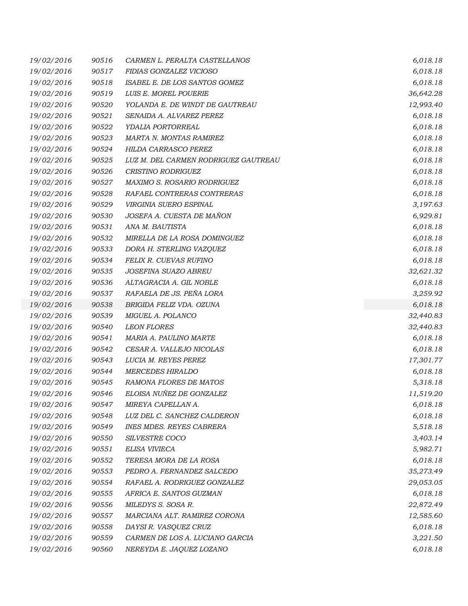| 19/02/2016 | 90516 | CARMEN L. PERALTA CASTELLANOS        | 6,018.18  |
|------------|-------|--------------------------------------|-----------|
| 19/02/2016 | 90517 | FIDIAS GONZALEZ VICIOSO              | 6,018.18  |
| 19/02/2016 | 90518 | ISABEL E. DE LOS SANTOS GOMEZ        | 6,018.18  |
| 19/02/2016 | 90519 | LUIS E. MOREL POUERIE                | 36,642.28 |
| 19/02/2016 | 90520 | YOLANDA E. DE WINDT DE GAUTREAU      | 12,993.40 |
| 19/02/2016 | 90521 | SENAIDA A. ALVAREZ PEREZ             | 6,018.18  |
| 19/02/2016 | 90522 | YDALIA PORTORREAL                    | 6,018.18  |
| 19/02/2016 | 90523 | MARTA N. MONTAS RAMIREZ              | 6,018.18  |
| 19/02/2016 | 90524 | HILDA CARRASCO PEREZ                 | 6,018.18  |
| 19/02/2016 | 90525 | LUZ M. DEL CARMEN RODRIGUEZ GAUTREAU | 6,018.18  |
| 19/02/2016 | 90526 | <b>CRISTINO RODRIGUEZ</b>            | 6,018.18  |
| 19/02/2016 | 90527 | MAXIMO S. ROSARIO RODRIGUEZ          | 6,018.18  |
| 19/02/2016 | 90528 | RAFAEL CONTRERAS CONTRERAS           | 6,018.18  |
| 19/02/2016 | 90529 | VIRGINIA SUERO ESPINAL               | 3,197.63  |
| 19/02/2016 | 90530 | JOSEFA A. CUESTA DE MAÑON            | 6,929.81  |
| 19/02/2016 | 90531 | ANA M. BAUTISTA                      | 6,018.18  |
| 19/02/2016 | 90532 | MIRELLA DE LA ROSA DOMINGUEZ         | 6,018.18  |
| 19/02/2016 | 90533 | DORA H. STERLING VAZQUEZ             | 6,018.18  |
| 19/02/2016 | 90534 | FELIX R. CUEVAS RUFINO               | 6,018.18  |
| 19/02/2016 | 90535 | JOSEFINA SUAZO ABREU                 | 32,621.32 |
| 19/02/2016 | 90536 | ALTAGRACIA A. GIL NOBLE              | 6,018.18  |
| 19/02/2016 | 90537 | RAFAELA DE JS. PEÑA LORA             | 3,259.92  |
| 19/02/2016 | 90538 | BRIGIDA FELIZ VDA. OZUNA             | 6,018.18  |
| 19/02/2016 | 90539 | MIGUEL A. POLANCO                    | 32,440.83 |
| 19/02/2016 | 90540 | <b>LEON FLORES</b>                   | 32,440.83 |
| 19/02/2016 | 90541 | MARIA A. PAULINO MARTE               | 6,018.18  |
| 19/02/2016 | 90542 | CESAR A. VALLEJO NICOLAS             | 6,018.18  |
| 19/02/2016 | 90543 | LUCIA M. REYES PEREZ                 | 17,301.77 |
| 19/02/2016 | 90544 | <b>MERCEDES HIRALDO</b>              | 6,018.18  |
| 19/02/2016 | 90545 | RAMONA FLORES DE MATOS               | 5,318.18  |
| 19/02/2016 | 90546 | ELOISA NUÑEZ DE GONZALEZ             | 11,519.20 |
| 19/02/2016 | 90547 | MIREYA CAPELLAN A.                   | 6,018.18  |
| 19/02/2016 | 90548 | LUZ DEL C. SANCHEZ CALDERON          | 6,018.18  |
| 19/02/2016 | 90549 | <b>INES MDES. REYES CABRERA</b>      | 5,518.18  |
| 19/02/2016 | 90550 | SILVESTRE COCO                       | 3,403.14  |
| 19/02/2016 | 90551 | ELISA VIVIECA                        | 5,982.71  |
| 19/02/2016 | 90552 | TERESA MORA DE LA ROSA               | 6,018.18  |
| 19/02/2016 | 90553 | PEDRO A. FERNANDEZ SALCEDO           | 35,273.49 |
| 19/02/2016 | 90554 | RAFAEL A. RODRIGUEZ GONZALEZ         | 29,053.05 |
| 19/02/2016 | 90555 | AFRICA E. SANTOS GUZMAN              | 6,018.18  |
| 19/02/2016 | 90556 | MILEDYS S. SOSA R.                   | 22,872.49 |
| 19/02/2016 | 90557 | MARCIANA ALT. RAMIREZ CORONA         | 12,585.60 |
| 19/02/2016 | 90558 | DAYSI R. VASQUEZ CRUZ                | 6,018.18  |
| 19/02/2016 | 90559 | CARMEN DE LOS A. LUCIANO GARCIA      | 3,221.50  |
| 19/02/2016 | 90560 | NEREYDA E. JAQUEZ LOZANO             | 6,018.18  |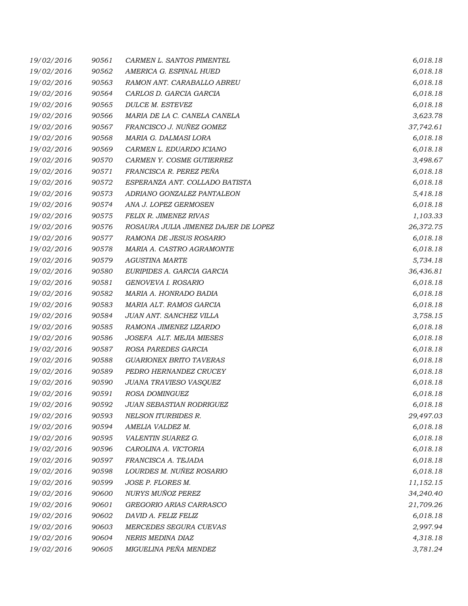| 19/02/2016 | 90561 | CARMEN L. SANTOS PIMENTEL            | 6,018.18  |
|------------|-------|--------------------------------------|-----------|
| 19/02/2016 | 90562 | AMERICA G. ESPINAL HUED              | 6,018.18  |
| 19/02/2016 | 90563 | RAMON ANT. CARABALLO ABREU           | 6,018.18  |
| 19/02/2016 | 90564 | CARLOS D. GARCIA GARCIA              | 6,018.18  |
| 19/02/2016 | 90565 | DULCE M. ESTEVEZ                     | 6,018.18  |
| 19/02/2016 | 90566 | MARIA DE LA C. CANELA CANELA         | 3,623.78  |
| 19/02/2016 | 90567 | FRANCISCO J. NUÑEZ GOMEZ             | 37,742.61 |
| 19/02/2016 | 90568 | MARIA G. DALMASI LORA                | 6,018.18  |
| 19/02/2016 | 90569 | CARMEN L. EDUARDO ICIANO             | 6,018.18  |
| 19/02/2016 | 90570 | CARMEN Y. COSME GUTIERREZ            | 3,498.67  |
| 19/02/2016 | 90571 | FRANCISCA R. PEREZ PEÑA              | 6,018.18  |
| 19/02/2016 | 90572 | ESPERANZA ANT. COLLADO BATISTA       | 6,018.18  |
| 19/02/2016 | 90573 | ADRIANO GONZALEZ PANTALEON           | 5,418.18  |
| 19/02/2016 | 90574 | ANA J. LOPEZ GERMOSEN                | 6,018.18  |
| 19/02/2016 | 90575 | <b>FELIX R. JIMENEZ RIVAS</b>        | 1,103.33  |
| 19/02/2016 | 90576 | ROSAURA JULIA JIMENEZ DAJER DE LOPEZ | 26,372.75 |
| 19/02/2016 | 90577 | RAMONA DE JESUS ROSARIO              | 6,018.18  |
| 19/02/2016 | 90578 | MARIA A. CASTRO AGRAMONTE            | 6,018.18  |
| 19/02/2016 | 90579 | <b>AGUSTINA MARTE</b>                | 5,734.18  |
| 19/02/2016 | 90580 | EURIPIDES A. GARCIA GARCIA           | 36,436.81 |
| 19/02/2016 | 90581 | GENOVEVA I. ROSARIO                  | 6,018.18  |
| 19/02/2016 | 90582 | MARIA A. HONRADO BADIA               | 6,018.18  |
| 19/02/2016 | 90583 | MARIA ALT. RAMOS GARCIA              | 6,018.18  |
| 19/02/2016 | 90584 | JUAN ANT. SANCHEZ VILLA              | 3,758.15  |
| 19/02/2016 | 90585 | RAMONA JIMENEZ LIZARDO               | 6,018.18  |
| 19/02/2016 | 90586 | JOSEFA ALT. MEJIA MIESES             | 6,018.18  |
| 19/02/2016 | 90587 | ROSA PAREDES GARCIA                  | 6,018.18  |
| 19/02/2016 | 90588 | <b>GUARIONEX BRITO TAVERAS</b>       | 6,018.18  |
| 19/02/2016 | 90589 | PEDRO HERNANDEZ CRUCEY               | 6,018.18  |
| 19/02/2016 | 90590 | JUANA TRAVIESO VASQUEZ               | 6,018.18  |
| 19/02/2016 | 90591 | ROSA DOMINGUEZ                       | 6,018.18  |
| 19/02/2016 | 90592 | JUAN SEBASTIAN RODRIGUEZ             | 6,018.18  |
| 19/02/2016 | 90593 | <b>NELSON ITURBIDES R.</b>           | 29,497.03 |
| 19/02/2016 | 90594 | AMELIA VALDEZ M.                     | 6,018.18  |
| 19/02/2016 | 90595 | VALENTIN SUAREZ G.                   | 6,018.18  |
| 19/02/2016 | 90596 | CAROLINA A. VICTORIA                 | 6,018.18  |
| 19/02/2016 | 90597 | FRANCISCA A. TEJADA                  | 6,018.18  |
| 19/02/2016 | 90598 | LOURDES M. NUÑEZ ROSARIO             | 6,018.18  |
| 19/02/2016 | 90599 | JOSE P. FLORES M.                    | 11,152.15 |
| 19/02/2016 | 90600 | NURYS MUÑOZ PEREZ                    | 34,240.40 |
| 19/02/2016 | 90601 | GREGORIO ARIAS CARRASCO              | 21,709.26 |
| 19/02/2016 | 90602 | DAVID A. FELIZ FELIZ                 | 6,018.18  |
| 19/02/2016 | 90603 | MERCEDES SEGURA CUEVAS               | 2,997.94  |
| 19/02/2016 | 90604 | NERIS MEDINA DIAZ                    | 4,318.18  |
| 19/02/2016 | 90605 | MIGUELINA PEÑA MENDEZ                | 3,781.24  |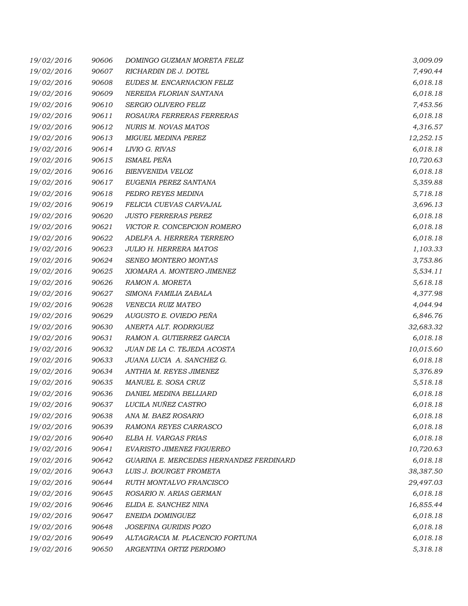| 19/02/2016 | 90606 | DOMINGO GUZMAN MORETA FELIZ             | 3,009.09  |
|------------|-------|-----------------------------------------|-----------|
| 19/02/2016 | 90607 | RICHARDIN DE J. DOTEL                   | 7,490.44  |
| 19/02/2016 | 90608 | EUDES M. ENCARNACION FELIZ              | 6,018.18  |
| 19/02/2016 | 90609 | NEREIDA FLORIAN SANTANA                 | 6,018.18  |
| 19/02/2016 | 90610 | SERGIO OLIVERO FELIZ                    | 7,453.56  |
| 19/02/2016 | 90611 | ROSAURA FERRERAS FERRERAS               | 6,018.18  |
| 19/02/2016 | 90612 | <b>NURIS M. NOVAS MATOS</b>             | 4,316.57  |
| 19/02/2016 | 90613 | MIGUEL MEDINA PEREZ                     | 12,252.15 |
| 19/02/2016 | 90614 | LIVIO G. RIVAS                          | 6,018.18  |
| 19/02/2016 | 90615 | ISMAEL PEÑA                             | 10,720.63 |
| 19/02/2016 | 90616 | <b>BIENVENIDA VELOZ</b>                 | 6,018.18  |
| 19/02/2016 | 90617 | EUGENIA PEREZ SANTANA                   | 5,359.88  |
| 19/02/2016 | 90618 | PEDRO REYES MEDINA                      | 5,718.18  |
| 19/02/2016 | 90619 | FELICIA CUEVAS CARVAJAL                 | 3,696.13  |
| 19/02/2016 | 90620 | <b>JUSTO FERRERAS PEREZ</b>             | 6,018.18  |
| 19/02/2016 | 90621 | VICTOR R. CONCEPCION ROMERO             | 6,018.18  |
| 19/02/2016 | 90622 | ADELFA A. HERRERA TERRERO               | 6,018.18  |
| 19/02/2016 | 90623 | JULIO H. HERRERA MATOS                  | 1,103.33  |
| 19/02/2016 | 90624 | SENEO MONTERO MONTAS                    | 3,753.86  |
| 19/02/2016 | 90625 | XIOMARA A. MONTERO JIMENEZ              | 5,534.11  |
| 19/02/2016 | 90626 | RAMON A. MORETA                         | 5,618.18  |
| 19/02/2016 | 90627 | SIMONA FAMILIA ZABALA                   | 4,377.98  |
| 19/02/2016 | 90628 | VENECIA RUIZ MATEO                      | 4,044.94  |
| 19/02/2016 | 90629 | AUGUSTO E. OVIEDO PEÑA                  | 6,846.76  |
| 19/02/2016 | 90630 | ANERTA ALT. RODRIGUEZ                   | 32,683.32 |
| 19/02/2016 | 90631 | RAMON A. GUTIERREZ GARCIA               | 6,018.18  |
| 19/02/2016 | 90632 | JUAN DE LA C. TEJEDA ACOSTA             | 10,015.60 |
| 19/02/2016 | 90633 | JUANA LUCIA A. SANCHEZ G.               | 6,018.18  |
| 19/02/2016 | 90634 | ANTHIA M. REYES JIMENEZ                 | 5,376.89  |
| 19/02/2016 | 90635 | MANUEL E. SOSA CRUZ                     | 5,518.18  |
| 19/02/2016 | 90636 | DANIEL MEDINA BELLIARD                  | 6,018.18  |
| 19/02/2016 | 90637 | LUCILA NUÑEZ CASTRO                     | 6,018.18  |
| 19/02/2016 | 90638 | ANA M. BAEZ ROSARIO                     | 6,018.18  |
| 19/02/2016 | 90639 | RAMONA REYES CARRASCO                   | 6,018.18  |
| 19/02/2016 | 90640 | ELBA H. VARGAS FRIAS                    | 6,018.18  |
| 19/02/2016 | 90641 | EVARISTO JIMENEZ FIGUEREO               | 10,720.63 |
| 19/02/2016 | 90642 | GUARINA E. MERCEDES HERNANDEZ FERDINARD | 6,018.18  |
| 19/02/2016 | 90643 | LUIS J. BOURGET FROMETA                 | 38,387.50 |
| 19/02/2016 | 90644 | RUTH MONTALVO FRANCISCO                 | 29,497.03 |
| 19/02/2016 | 90645 | ROSARIO N. ARIAS GERMAN                 | 6,018.18  |
| 19/02/2016 | 90646 | ELIDA E. SANCHEZ NINA                   | 16,855.44 |
| 19/02/2016 | 90647 | ENEIDA DOMINGUEZ                        | 6,018.18  |
| 19/02/2016 | 90648 | JOSEFINA GURIDIS POZO                   | 6,018.18  |
| 19/02/2016 | 90649 | ALTAGRACIA M. PLACENCIO FORTUNA         | 6,018.18  |
| 19/02/2016 | 90650 | ARGENTINA ORTIZ PERDOMO                 | 5,318.18  |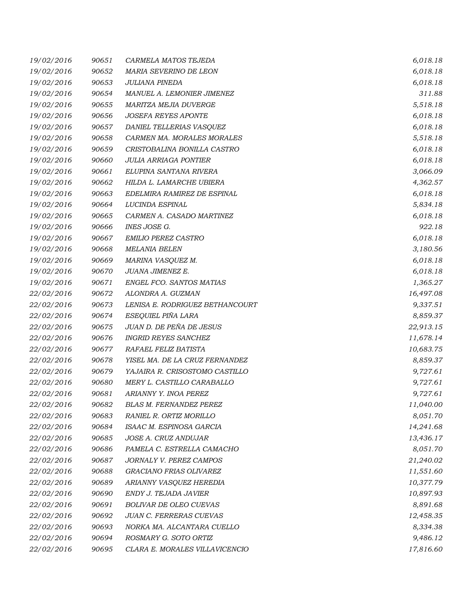| 19/02/2016 | 90651 | CARMELA MATOS TEJEDA            | 6,018.18  |
|------------|-------|---------------------------------|-----------|
| 19/02/2016 | 90652 | MARIA SEVERINO DE LEON          | 6,018.18  |
| 19/02/2016 | 90653 | JULIANA PINEDA                  | 6,018.18  |
| 19/02/2016 | 90654 | MANUEL A. LEMONIER JIMENEZ      | 311.88    |
| 19/02/2016 | 90655 | MARITZA MEJIA DUVERGE           | 5,518.18  |
| 19/02/2016 | 90656 | <b>JOSEFA REYES APONTE</b>      | 6,018.18  |
| 19/02/2016 | 90657 | DANIEL TELLERIAS VASQUEZ        | 6,018.18  |
| 19/02/2016 | 90658 | CARMEN MA. MORALES MORALES      | 5,518.18  |
| 19/02/2016 | 90659 | CRISTOBALINA BONILLA CASTRO     | 6,018.18  |
| 19/02/2016 | 90660 | <b>JULIA ARRIAGA PONTIER</b>    | 6,018.18  |
| 19/02/2016 | 90661 | ELUPINA SANTANA RIVERA          | 3,066.09  |
| 19/02/2016 | 90662 | HILDA L. LAMARCHE UBIERA        | 4,362.57  |
| 19/02/2016 | 90663 | EDELMIRA RAMIREZ DE ESPINAL     | 6,018.18  |
| 19/02/2016 | 90664 | LUCINDA ESPINAL                 | 5,834.18  |
| 19/02/2016 | 90665 | CARMEN A. CASADO MARTINEZ       | 6,018.18  |
| 19/02/2016 | 90666 | INES JOSE G.                    | 922.18    |
| 19/02/2016 | 90667 | <b>EMILIO PEREZ CASTRO</b>      | 6,018.18  |
| 19/02/2016 | 90668 | <b>MELANIA BELEN</b>            | 3,180.56  |
| 19/02/2016 | 90669 | MARINA VASQUEZ M.               | 6,018.18  |
| 19/02/2016 | 90670 | JUANA JIMENEZ E.                | 6,018.18  |
| 19/02/2016 | 90671 | ENGEL FCO. SANTOS MATIAS        | 1,365.27  |
| 22/02/2016 | 90672 | ALONDRA A. GUZMAN               | 16,497.08 |
| 22/02/2016 | 90673 | LENISA E. RODRIGUEZ BETHANCOURT | 9,337.51  |
| 22/02/2016 | 90674 | ESEQUIEL PIÑA LARA              | 8,859.37  |
| 22/02/2016 | 90675 | JUAN D. DE PEÑA DE JESUS        | 22,913.15 |
| 22/02/2016 | 90676 | <b>INGRID REYES SANCHEZ</b>     | 11,678.14 |
| 22/02/2016 | 90677 | RAFAEL FELIZ BATISTA            | 10,683.75 |
| 22/02/2016 | 90678 | YISEL MA. DE LA CRUZ FERNANDEZ  | 8,859.37  |
| 22/02/2016 | 90679 | YAJAIRA R. CRISOSTOMO CASTILLO  | 9,727.61  |
| 22/02/2016 | 90680 | MERY L. CASTILLO CARABALLO      | 9,727.61  |
| 22/02/2016 | 90681 | ARIANNY Y. INOA PEREZ           | 9,727.61  |
| 22/02/2016 | 90682 | <b>BLAS M. FERNANDEZ PEREZ</b>  | 11,040.00 |
| 22/02/2016 | 90683 | RANIEL R. ORTIZ MORILLO         | 8,051.70  |
| 22/02/2016 | 90684 | ISAAC M. ESPINOSA GARCIA        | 14,241.68 |
| 22/02/2016 | 90685 | JOSE A. CRUZ ANDUJAR            | 13,436.17 |
| 22/02/2016 | 90686 | PAMELA C. ESTRELLA CAMACHO      | 8,051.70  |
| 22/02/2016 | 90687 | <b>JORNALY V. PEREZ CAMPOS</b>  | 21,240.02 |
| 22/02/2016 | 90688 | GRACIANO FRIAS OLIVAREZ         | 11,551.60 |
| 22/02/2016 | 90689 | ARIANNY VASQUEZ HEREDIA         | 10,377.79 |
| 22/02/2016 | 90690 | ENDY J. TEJADA JAVIER           | 10,897.93 |
| 22/02/2016 | 90691 | BOLIVAR DE OLEO CUEVAS          | 8,891.68  |
| 22/02/2016 | 90692 | JUAN C. FERRERAS CUEVAS         | 12,458.35 |
| 22/02/2016 | 90693 | NORKA MA. ALCANTARA CUELLO      | 8,334.38  |
| 22/02/2016 | 90694 | ROSMARY G. SOTO ORTIZ           | 9,486.12  |
| 22/02/2016 | 90695 | CLARA E. MORALES VILLAVICENCIO  | 17,816.60 |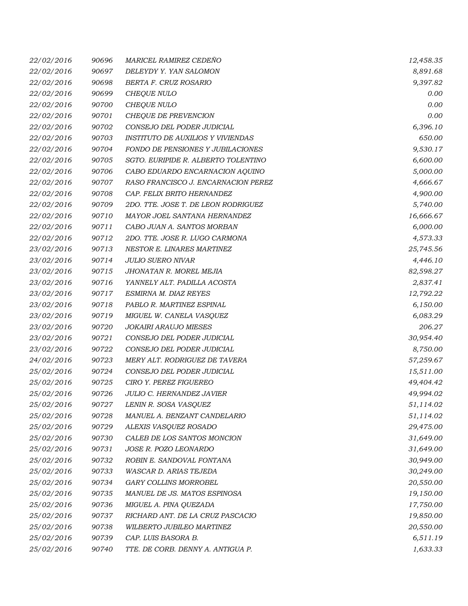| 22/02/2016 | 90696 | MARICEL RAMIREZ CEDEÑO                   | 12,458.35 |
|------------|-------|------------------------------------------|-----------|
| 22/02/2016 | 90697 | DELEYDY Y. YAN SALOMON                   | 8,891.68  |
| 22/02/2016 | 90698 | BERTA F. CRUZ ROSARIO                    | 9,397.82  |
| 22/02/2016 | 90699 | CHEQUE NULO                              | 0.00      |
| 22/02/2016 | 90700 | CHEQUE NULO                              | 0.00      |
| 22/02/2016 | 90701 | CHEQUE DE PREVENCION                     | 0.00      |
| 22/02/2016 | 90702 | CONSEJO DEL PODER JUDICIAL               | 6,396.10  |
| 22/02/2016 | 90703 | <b>INSTITUTO DE AUXILIOS Y VIVIENDAS</b> | 650.00    |
| 22/02/2016 | 90704 | FONDO DE PENSIONES Y JUBILACIONES        | 9,530.17  |
| 22/02/2016 | 90705 | SGTO. EURIPIDE R. ALBERTO TOLENTINO      | 6,600.00  |
| 22/02/2016 | 90706 | CABO EDUARDO ENCARNACION AQUINO          | 5,000.00  |
| 22/02/2016 | 90707 | RASO FRANCISCO J. ENCARNACION PEREZ      | 4,666.67  |
| 22/02/2016 | 90708 | CAP. FELIX BRITO HERNANDEZ               | 4,900.00  |
| 22/02/2016 | 90709 | 2DO. TTE. JOSE T. DE LEON RODRIGUEZ      | 5,740.00  |
| 22/02/2016 | 90710 | MAYOR JOEL SANTANA HERNANDEZ             | 16,666.67 |
| 22/02/2016 | 90711 | CABO JUAN A. SANTOS MORBAN               | 6,000.00  |
| 22/02/2016 | 90712 | 2DO. TTE. JOSE R. LUGO CARMONA           | 4,573.33  |
| 23/02/2016 | 90713 | NESTOR E. LINARES MARTINEZ               | 25,745.56 |
| 23/02/2016 | 90714 | <b>JULIO SUERO NIVAR</b>                 | 4,446.10  |
| 23/02/2016 | 90715 | JHONATAN R. MOREL MEJIA                  | 82,598.27 |
| 23/02/2016 | 90716 | YANNELY ALT. PADILLA ACOSTA              | 2,837.41  |
| 23/02/2016 | 90717 | ESMIRNA M. DIAZ REYES                    | 12,792.22 |
| 23/02/2016 | 90718 | PABLO R. MARTINEZ ESPINAL                | 6,150.00  |
| 23/02/2016 | 90719 | MIGUEL W. CANELA VASQUEZ                 | 6,083.29  |
| 23/02/2016 | 90720 | <b>JOKAIRI ARAUJO MIESES</b>             | 206.27    |
| 23/02/2016 | 90721 | CONSEJO DEL PODER JUDICIAL               | 30,954.40 |
| 23/02/2016 | 90722 | CONSEJO DEL PODER JUDICIAL               | 8,750.00  |
| 24/02/2016 | 90723 | MERY ALT. RODRIGUEZ DE TAVERA            | 57,259.67 |
| 25/02/2016 | 90724 | CONSEJO DEL PODER JUDICIAL               | 15,511.00 |
| 25/02/2016 | 90725 | CIRO Y. PEREZ FIGUEREO                   | 49,404.42 |
| 25/02/2016 | 90726 | JULIO C. HERNANDEZ JAVIER                | 49,994.02 |
| 25/02/2016 | 90727 | LENIN R. SOSA VASQUEZ                    | 51,114.02 |
| 25/02/2016 | 90728 | MANUEL A. BENZANT CANDELARIO             | 51,114.02 |
| 25/02/2016 | 90729 | ALEXIS VASQUEZ ROSADO                    | 29,475.00 |
| 25/02/2016 | 90730 | CALEB DE LOS SANTOS MONCION              | 31,649.00 |
| 25/02/2016 | 90731 | JOSE R. POZO LEONARDO                    | 31,649.00 |
| 25/02/2016 | 90732 | ROBIN E. SANDOVAL FONTANA                | 30,949.00 |
| 25/02/2016 | 90733 | WASCAR D. ARIAS TEJEDA                   | 30,249.00 |
| 25/02/2016 | 90734 | GARY COLLINS MORROBEL                    | 20,550.00 |
| 25/02/2016 | 90735 | MANUEL DE JS. MATOS ESPINOSA             | 19,150.00 |
| 25/02/2016 | 90736 | MIGUEL A. PINA QUEZADA                   | 17,750.00 |
| 25/02/2016 | 90737 | RICHARD ANT. DE LA CRUZ PASCACIO         | 19,850.00 |
| 25/02/2016 | 90738 | WILBERTO JUBILEO MARTINEZ                | 20,550.00 |
| 25/02/2016 | 90739 | CAP. LUIS BASORA B.                      | 6,511.19  |
| 25/02/2016 | 90740 | TTE. DE CORB. DENNY A. ANTIGUA P.        | 1,633.33  |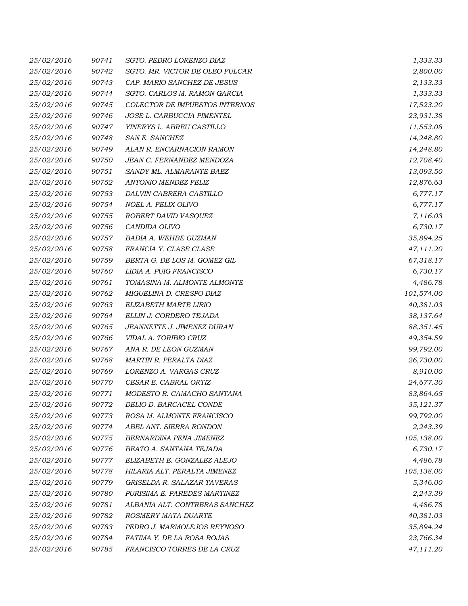| 25/02/2016 | 90741 | SGTO. PEDRO LORENZO DIAZ        | 1,333.33   |
|------------|-------|---------------------------------|------------|
| 25/02/2016 | 90742 | SGTO. MR. VICTOR DE OLEO FULCAR | 2,800.00   |
| 25/02/2016 | 90743 | CAP. MARIO SANCHEZ DE JESUS     | 2,133.33   |
| 25/02/2016 | 90744 | SGTO. CARLOS M. RAMON GARCIA    | 1,333.33   |
| 25/02/2016 | 90745 | COLECTOR DE IMPUESTOS INTERNOS  | 17,523.20  |
| 25/02/2016 | 90746 | JOSE L. CARBUCCIA PIMENTEL      | 23,931.38  |
| 25/02/2016 | 90747 | YINERYS L. ABREU CASTILLO       | 11,553.08  |
| 25/02/2016 | 90748 | SAN E. SANCHEZ                  | 14,248.80  |
| 25/02/2016 | 90749 | ALAN R. ENCARNACION RAMON       | 14,248.80  |
| 25/02/2016 | 90750 | JEAN C. FERNANDEZ MENDOZA       | 12,708.40  |
| 25/02/2016 | 90751 | SANDY ML. ALMARANTE BAEZ        | 13,093.50  |
| 25/02/2016 | 90752 | ANTONIO MENDEZ FELIZ            | 12,876.63  |
| 25/02/2016 | 90753 | DALVIN CABRERA CASTILLO         | 6,777.17   |
| 25/02/2016 | 90754 | NOEL A. FELIX OLIVO             | 6,777.17   |
| 25/02/2016 | 90755 | ROBERT DAVID VASQUEZ            | 7,116.03   |
| 25/02/2016 | 90756 | CANDIDA OLIVO                   | 6,730.17   |
| 25/02/2016 | 90757 | BADIA A. WEHBE GUZMAN           | 35,894.25  |
| 25/02/2016 | 90758 | FRANCIA Y. CLASE CLASE          | 47,111.20  |
| 25/02/2016 | 90759 | BERTA G. DE LOS M. GOMEZ GIL    | 67,318.17  |
| 25/02/2016 | 90760 | LIDIA A. PUIG FRANCISCO         | 6,730.17   |
| 25/02/2016 | 90761 | TOMASINA M. ALMONTE ALMONTE     | 4,486.78   |
| 25/02/2016 | 90762 | MIGUELINA D. CRESPO DIAZ        | 101,574.00 |
| 25/02/2016 | 90763 | ELIZABETH MARTE LIRIO           | 40,381.03  |
| 25/02/2016 | 90764 | ELLIN J. CORDERO TEJADA         | 38,137.64  |
| 25/02/2016 | 90765 | JEANNETTE J. JIMENEZ DURAN      | 88,351.45  |
| 25/02/2016 | 90766 | VIDAL A. TORIBIO CRUZ           | 49,354.59  |
| 25/02/2016 | 90767 | ANA R. DE LEON GUZMAN           | 99,792.00  |
| 25/02/2016 | 90768 | MARTIN R. PERALTA DIAZ          | 26,730.00  |
| 25/02/2016 | 90769 | LORENZO A. VARGAS CRUZ          | 8,910.00   |
| 25/02/2016 | 90770 | CESAR E. CABRAL ORTIZ           | 24,677.30  |
| 25/02/2016 | 90771 | MODESTO R. CAMACHO SANTANA      | 83,864.65  |
| 25/02/2016 | 90772 | DELIO D. BARCACEL CONDE         | 35,121.37  |
| 25/02/2016 | 90773 | ROSA M. ALMONTE FRANCISCO       | 99,792.00  |
| 25/02/2016 | 90774 | ABEL ANT. SIERRA RONDON         | 2,243.39   |
| 25/02/2016 | 90775 | BERNARDINA PEÑA JIMENEZ         | 105,138.00 |
| 25/02/2016 | 90776 | BEATO A. SANTANA TEJADA         | 6,730.17   |
| 25/02/2016 | 90777 | ELIZABETH E. GONZALEZ ALEJO     | 4,486.78   |
| 25/02/2016 | 90778 | HILARIA ALT. PERALTA JIMENEZ    | 105,138.00 |
| 25/02/2016 | 90779 | GRISELDA R. SALAZAR TAVERAS     | 5,346.00   |
| 25/02/2016 | 90780 | PURISIMA E. PAREDES MARTINEZ    | 2,243.39   |
| 25/02/2016 | 90781 | ALBANIA ALT. CONTRERAS SANCHEZ  | 4,486.78   |
| 25/02/2016 | 90782 | ROSMERY MATA DUARTE             | 40,381.03  |
| 25/02/2016 | 90783 | PEDRO J. MARMOLEJOS REYNOSO     | 35,894.24  |
| 25/02/2016 | 90784 | FATIMA Y. DE LA ROSA ROJAS      | 23,766.34  |
| 25/02/2016 | 90785 | FRANCISCO TORRES DE LA CRUZ     | 47,111.20  |
|            |       |                                 |            |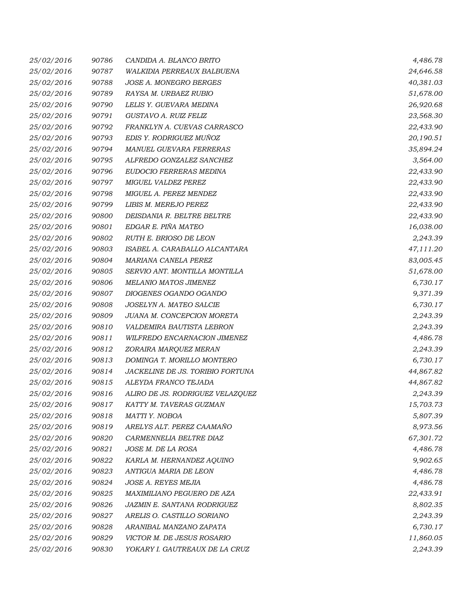| 25/02/2016 | 90786 | CANDIDA A. BLANCO BRITO          | 4,486.78  |
|------------|-------|----------------------------------|-----------|
| 25/02/2016 | 90787 | WALKIDIA PERREAUX BALBUENA       | 24,646.58 |
| 25/02/2016 | 90788 | JOSE A. MONEGRO BERGES           | 40,381.03 |
| 25/02/2016 | 90789 | RAYSA M. URBAEZ RUBIO            | 51,678.00 |
| 25/02/2016 | 90790 | LELIS Y. GUEVARA MEDINA          | 26,920.68 |
| 25/02/2016 | 90791 | GUSTAVO A. RUIZ FELIZ            | 23,568.30 |
| 25/02/2016 | 90792 | FRANKLYN A. CUEVAS CARRASCO      | 22,433.90 |
| 25/02/2016 | 90793 | EDIS Y. RODRIGUEZ MUÑOZ          | 20,190.51 |
| 25/02/2016 | 90794 | MANUEL GUEVARA FERRERAS          | 35,894.24 |
| 25/02/2016 | 90795 | ALFREDO GONZALEZ SANCHEZ         | 3,564.00  |
| 25/02/2016 | 90796 | EUDOCIO FERRERAS MEDINA          | 22,433.90 |
| 25/02/2016 | 90797 | <b>MIGUEL VALDEZ PEREZ</b>       | 22,433.90 |
| 25/02/2016 | 90798 | MIGUEL A. PEREZ MENDEZ           | 22,433.90 |
| 25/02/2016 | 90799 | LIBIS M. MEREJO PEREZ            | 22,433.90 |
| 25/02/2016 | 90800 | DEISDANIA R. BELTRE BELTRE       | 22,433.90 |
| 25/02/2016 | 90801 | EDGAR E. PIÑA MATEO              | 16,038.00 |
| 25/02/2016 | 90802 | RUTH E. BRIOSO DE LEON           | 2,243.39  |
| 25/02/2016 | 90803 | ISABEL A. CARABALLO ALCANTARA    | 47,111.20 |
| 25/02/2016 | 90804 | MARIANA CANELA PEREZ             | 83,005.45 |
| 25/02/2016 | 90805 | SERVIO ANT. MONTILLA MONTILLA    | 51,678.00 |
| 25/02/2016 | 90806 | MELANIO MATOS JIMENEZ            | 6,730.17  |
| 25/02/2016 | 90807 | DIOGENES OGANDO OGANDO           | 9,371.39  |
| 25/02/2016 | 90808 | JOSELYN A. MATEO SALCIE          | 6,730.17  |
| 25/02/2016 | 90809 | JUANA M. CONCEPCION MORETA       | 2,243.39  |
| 25/02/2016 | 90810 | VALDEMIRA BAUTISTA LEBRON        | 2,243.39  |
| 25/02/2016 | 90811 | WILFREDO ENCARNACION JIMENEZ     | 4,486.78  |
| 25/02/2016 | 90812 | ZORAIRA MARQUEZ MERAN            | 2,243.39  |
| 25/02/2016 | 90813 | DOMINGA T. MORILLO MONTERO       | 6,730.17  |
| 25/02/2016 | 90814 | JACKELINE DE JS. TORIBIO FORTUNA | 44,867.82 |
| 25/02/2016 | 90815 | ALEYDA FRANCO TEJADA             | 44,867.82 |
| 25/02/2016 | 90816 | ALIRO DE JS. RODRIGUEZ VELAZQUEZ | 2,243.39  |
| 25/02/2016 | 90817 | KATTY M. TAVERAS GUZMAN          | 15,703.73 |
| 25/02/2016 | 90818 | MATTI Y. NOBOA                   | 5,807.39  |
| 25/02/2016 | 90819 | ARELYS ALT. PEREZ CAAMAÑO        | 8,973.56  |
| 25/02/2016 | 90820 | CARMENNELIA BELTRE DIAZ          | 67,301.72 |
| 25/02/2016 | 90821 | JOSE M. DE LA ROSA               | 4,486.78  |
| 25/02/2016 | 90822 | KARLA M. HERNANDEZ AQUINO        | 9,902.65  |
| 25/02/2016 | 90823 | ANTIGUA MARIA DE LEON            | 4,486.78  |
| 25/02/2016 | 90824 | JOSE A. REYES MEJIA              | 4,486.78  |
| 25/02/2016 | 90825 | MAXIMILIANO PEGUERO DE AZA       | 22,433.91 |
| 25/02/2016 | 90826 | JAZMIN E. SANTANA RODRIGUEZ      | 8,802.35  |
| 25/02/2016 | 90827 | ARELIS O. CASTILLO SORIANO       | 2,243.39  |
| 25/02/2016 | 90828 | ARANIBAL MANZANO ZAPATA          | 6,730.17  |
| 25/02/2016 | 90829 | VICTOR M. DE JESUS ROSARIO       | 11,860.05 |
| 25/02/2016 | 90830 | YOKARY I. GAUTREAUX DE LA CRUZ   | 2,243.39  |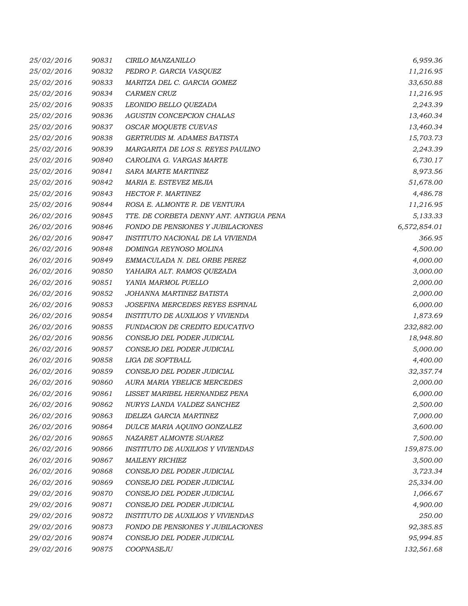| 25/02/2016 | 90831 | CIRILO MANZANILLO                        | 6,959.36     |
|------------|-------|------------------------------------------|--------------|
| 25/02/2016 | 90832 | PEDRO P. GARCIA VASQUEZ                  | 11,216.95    |
| 25/02/2016 | 90833 | MARITZA DEL C. GARCIA GOMEZ              | 33,650.88    |
| 25/02/2016 | 90834 | <b>CARMEN CRUZ</b>                       | 11,216.95    |
| 25/02/2016 | 90835 | LEONIDO BELLO QUEZADA                    | 2,243.39     |
| 25/02/2016 | 90836 | AGUSTIN CONCEPCION CHALAS                | 13,460.34    |
| 25/02/2016 | 90837 | OSCAR MOQUETE CUEVAS                     | 13,460.34    |
| 25/02/2016 | 90838 | <b>GERTRUDIS M. ADAMES BATISTA</b>       | 15,703.73    |
| 25/02/2016 | 90839 | MARGARITA DE LOS S. REYES PAULINO        | 2,243.39     |
| 25/02/2016 | 90840 | CAROLINA G. VARGAS MARTE                 | 6,730.17     |
| 25/02/2016 | 90841 | SARA MARTE MARTINEZ                      | 8,973.56     |
| 25/02/2016 | 90842 | MARIA E. ESTEVEZ MEJIA                   | 51,678.00    |
| 25/02/2016 | 90843 | HECTOR F. MARTINEZ                       | 4,486.78     |
| 25/02/2016 | 90844 | ROSA E. ALMONTE R. DE VENTURA            | 11,216.95    |
| 26/02/2016 | 90845 | TTE. DE CORBETA DENNY ANT. ANTIGUA PENA  | 5,133.33     |
| 26/02/2016 | 90846 | FONDO DE PENSIONES Y JUBILACIONES        | 6,572,854.01 |
| 26/02/2016 | 90847 | INSTITUTO NACIONAL DE LA VIVIENDA        | 366.95       |
| 26/02/2016 | 90848 | DOMINGA REYNOSO MOLINA                   | 4,500.00     |
| 26/02/2016 | 90849 | EMMACULADA N. DEL ORBE PEREZ             | 4,000.00     |
| 26/02/2016 | 90850 | YAHAIRA ALT. RAMOS QUEZADA               | 3,000.00     |
| 26/02/2016 | 90851 | YANIA MARMOL PUELLO                      | 2,000.00     |
| 26/02/2016 | 90852 | JOHANNA MARTINEZ BATISTA                 | 2,000.00     |
| 26/02/2016 | 90853 | JOSEFINA MERCEDES REYES ESPINAL          | 6,000.00     |
| 26/02/2016 | 90854 | INSTITUTO DE AUXILIOS Y VIVIENDA         | 1,873.69     |
| 26/02/2016 | 90855 | FUNDACION DE CREDITO EDUCATIVO           | 232,882.00   |
| 26/02/2016 | 90856 | CONSEJO DEL PODER JUDICIAL               | 18,948.80    |
| 26/02/2016 | 90857 | CONSEJO DEL PODER JUDICIAL               | 5,000.00     |
| 26/02/2016 | 90858 | LIGA DE SOFTBALL                         | 4,400.00     |
| 26/02/2016 | 90859 | CONSEJO DEL PODER JUDICIAL               | 32,357.74    |
| 26/02/2016 | 90860 | <b>AURA MARIA YBELICE MERCEDES</b>       | 2,000.00     |
| 26/02/2016 | 90861 | LISSET MARIBEL HERNANDEZ PENA            | 6,000.00     |
| 26/02/2016 | 90862 | NURYS LANDA VALDEZ SANCHEZ               | 2,500.00     |
| 26/02/2016 | 90863 | <b>IDELIZA GARCIA MARTINEZ</b>           | 7,000.00     |
| 26/02/2016 | 90864 | DULCE MARIA AQUINO GONZALEZ              | 3,600.00     |
| 26/02/2016 | 90865 | NAZARET ALMONTE SUAREZ                   | 7,500.00     |
| 26/02/2016 | 90866 | <b>INSTITUTO DE AUXILIOS Y VIVIENDAS</b> | 159,875.00   |
| 26/02/2016 | 90867 | <b>MAILENY RICHIEZ</b>                   | 3,500.00     |
| 26/02/2016 | 90868 | CONSEJO DEL PODER JUDICIAL               | 3,723.34     |
| 26/02/2016 | 90869 | CONSEJO DEL PODER JUDICIAL               | 25,334.00    |
| 29/02/2016 | 90870 | CONSEJO DEL PODER JUDICIAL               | 1,066.67     |
| 29/02/2016 | 90871 | CONSEJO DEL PODER JUDICIAL               | 4,900.00     |
| 29/02/2016 | 90872 | <b>INSTITUTO DE AUXILIOS Y VIVIENDAS</b> | 250.00       |
| 29/02/2016 | 90873 | FONDO DE PENSIONES Y JUBILACIONES        | 92,385.85    |
| 29/02/2016 | 90874 | CONSEJO DEL PODER JUDICIAL               | 95,994.85    |
| 29/02/2016 | 90875 | COOPNASEJU                               | 132,561.68   |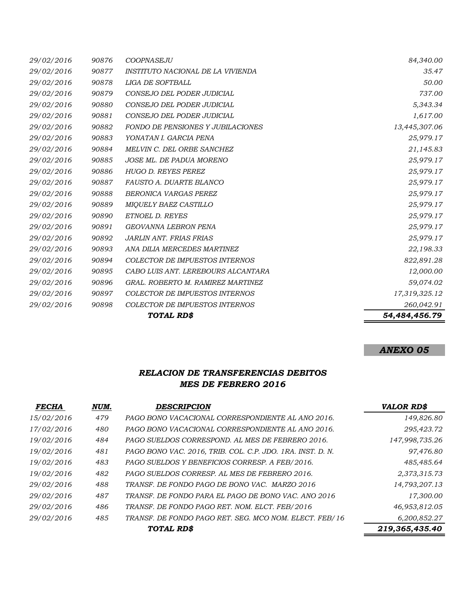|            |       | TOTAL RD\$                               | 54,484,456.79 |
|------------|-------|------------------------------------------|---------------|
| 29/02/2016 | 90898 | <b>COLECTOR DE IMPUESTOS INTERNOS</b>    | 260,042.91    |
| 29/02/2016 | 90897 | COLECTOR DE IMPUESTOS INTERNOS           | 17,319,325.12 |
| 29/02/2016 | 90896 | GRAL. ROBERTO M. RAMIREZ MARTINEZ        | 59,074.02     |
| 29/02/2016 | 90895 | CABO LUIS ANT. LEREBOURS ALCANTARA       | 12,000.00     |
| 29/02/2016 | 90894 | COLECTOR DE IMPUESTOS INTERNOS           | 822,891.28    |
| 29/02/2016 | 90893 | ANA DILIA MERCEDES MARTINEZ              | 22,198.33     |
| 29/02/2016 | 90892 | <b>JARLIN ANT. FRIAS FRIAS</b>           | 25,979.17     |
| 29/02/2016 | 90891 | <b>GEOVANNA LEBRON PENA</b>              | 25,979.17     |
| 29/02/2016 | 90890 | ETNOEL D. REYES                          | 25,979.17     |
| 29/02/2016 | 90889 | MIQUELY BAEZ CASTILLO                    | 25,979.17     |
| 29/02/2016 | 90888 | <b>BERONICA VARGAS PEREZ</b>             | 25,979.17     |
| 29/02/2016 | 90887 | <b>FAUSTO A. DUARTE BLANCO</b>           | 25,979.17     |
| 29/02/2016 | 90886 | <b>HUGO D. REYES PEREZ</b>               | 25,979.17     |
| 29/02/2016 | 90885 | JOSE ML. DE PADUA MORENO                 | 25,979.17     |
| 29/02/2016 | 90884 | MELVIN C. DEL ORBE SANCHEZ               | 21,145.83     |
| 29/02/2016 | 90883 | YONATAN I. GARCIA PENA                   | 25,979.17     |
| 29/02/2016 | 90882 | <b>FONDO DE PENSIONES Y JUBILACIONES</b> | 13,445,307.06 |
| 29/02/2016 | 90881 | CONSEJO DEL PODER JUDICIAL               | 1,617.00      |
| 29/02/2016 | 90880 | CONSEJO DEL PODER JUDICIAL               | 5,343.34      |
| 29/02/2016 | 90879 | CONSEJO DEL PODER JUDICIAL               | 737.00        |
| 29/02/2016 | 90878 | LIGA DE SOFTBALL                         | 50.00         |
| 29/02/2016 | 90877 | INSTITUTO NACIONAL DE LA VIVIENDA        | 35.47         |
| 29/02/2016 | 90876 | <b>COOPNASEJU</b>                        | 84,340.00     |

# *ANEXO 05*

# *RELACION DE TRANSFERENCIAS DEBITOS MES DE FEBRERO 2016*

| <b>FECHA</b> | NUM. | <b>DESCRIPCION</b>                                         | <b>VALOR RD\$</b> |
|--------------|------|------------------------------------------------------------|-------------------|
| 15/02/2016   | 479  | PAGO BONO VACACIONAL CORRESPONDIENTE AL ANO 2016.          | 149,826.80        |
| 17/02/2016   | 480  | PAGO BONO VACACIONAL CORRESPONDIENTE AL ANO 2016.          | 295,423.72        |
| 19/02/2016   | 484  | PAGO SUELDOS CORRESPOND. AL MES DE FEBRERO 2016.           | 147,998,735.26    |
| 19/02/2016   | 481  | PAGO BONO VAC. 2016, TRIB. COL. C.P. JDO. 1RA. INST. D. N. | 97,476.80         |
| 19/02/2016   | 483  | PAGO SUELDOS Y BENEFICIOS CORRESP. A FEB/2016.             | 485,485.64        |
| 19/02/2016   | 482  | PAGO SUELDOS CORRESP. AL MES DE FEBRERO 2016.              | 2,373,315.73      |
| 29/02/2016   | 488  | TRANSF. DE FONDO PAGO DE BONO VAC. MARZO 2016              | 14,793,207.13     |
| 29/02/2016   | 487  | TRANSF. DE FONDO PARA EL PAGO DE BONO VAC. ANO 2016        | 17,300.00         |
| 29/02/2016   | 486  | TRANSF. DE FONDO PAGO RET. NOM. ELCT. FEB/2016             | 46,953,812.05     |
| 29/02/2016   | 485  | TRANSF. DE FONDO PAGO RET. SEG. MCO NOM. ELECT. FEB/16     | 6,200,852.27      |
|              |      | TOTAL RD\$                                                 | 219,365,435.40    |